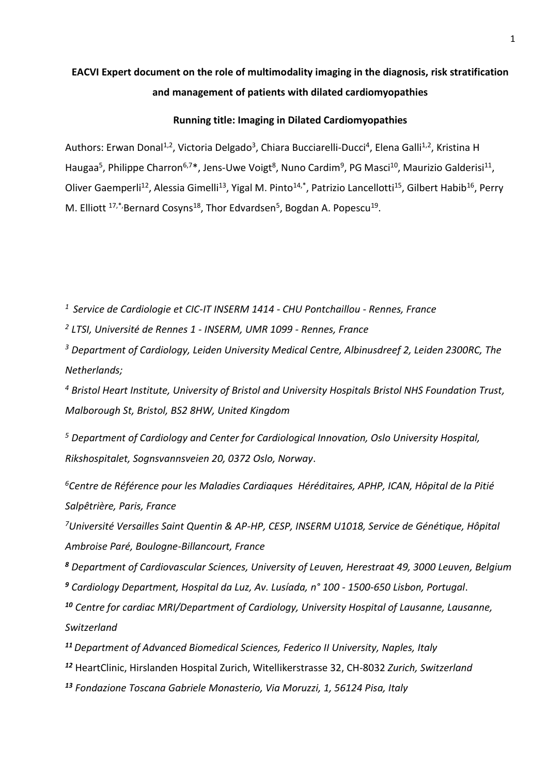# **EACVI Expert document on the role of multimodality imaging in the diagnosis, risk stratification and management of patients with dilated cardiomyopathies**

### **Running title: Imaging in Dilated Cardiomyopathies**

Authors: Erwan Donal<sup>1,2</sup>, Victoria Delgado<sup>3</sup>, Chiara Bucciarelli-Ducci<sup>4</sup>, Elena Galli<sup>1,2</sup>, Kristina H Haugaa<sup>5</sup>, Philippe Charron<sup>6,7\*</sup>, Jens-Uwe Voigt<sup>8</sup>, Nuno Cardim<sup>9</sup>, PG Masci<sup>10</sup>, Maurizio Galderisi<sup>11</sup>, Oliver Gaemperli<sup>12</sup>, Alessia Gimelli<sup>13</sup>, Yigal M. Pinto<sup>14,\*</sup>, Patrizio Lancellotti<sup>15</sup>, Gilbert Habib<sup>16</sup>, Perry M. Elliott <sup>17,\*</sup>,Bernard Cosyns<sup>18</sup>, Thor Edvardsen<sup>5</sup>, Bogdan A. Popescu<sup>19</sup>.

*<sup>1</sup> Service de Cardiologie et CIC-IT INSERM 1414 - CHU Pontchaillou - Rennes, France*

*2 LTSI, Université de Rennes 1 - INSERM, UMR 1099 - Rennes, France*

*<sup>3</sup> Department of Cardiology, Leiden University Medical Centre, Albinusdreef 2, Leiden 2300RC, The Netherlands;*

*<sup>4</sup> Bristol Heart Institute, University of Bristol and University Hospitals Bristol NHS Foundation Trust, Malborough St, Bristol, BS2 8HW, United Kingdom*

*<sup>5</sup> Department of Cardiology and Center for Cardiological Innovation, Oslo University Hospital, Rikshospitalet, Sognsvannsveien 20, 0372 Oslo, Norway*.

*<sup>6</sup>Centre de Référence pour les Maladies Cardiaques Héréditaires, APHP, ICAN, Hôpital de la Pitié Salpêtrière, Paris, France*

*<sup>7</sup>Université Versailles Saint Quentin & AP-HP, CESP, INSERM U1018, Service de Génétique, Hôpital Ambroise Paré, Boulogne-Billancourt, France*

*<sup>8</sup> Department of Cardiovascular Sciences, University of Leuven, Herestraat 49, 3000 Leuven, Belgium <sup>9</sup> Cardiology Department, Hospital da Luz, Av. Lusíada, n° 100 - 1500-650 Lisbon, Portugal*.

*<sup>10</sup> Centre for cardiac MRI/Department of Cardiology, University Hospital of Lausanne, Lausanne, Switzerland*

*<sup>11</sup>Department of Advanced Biomedical Sciences, Federico II University, Naples, Italy*

*<sup>12</sup>* HeartClinic, Hirslanden Hospital Zurich, Witellikerstrasse 32, CH-8032 *Zurich, Switzerland*

*<sup>13</sup> Fondazione Toscana Gabriele Monasterio, Via Moruzzi, 1, 56124 Pisa, Italy*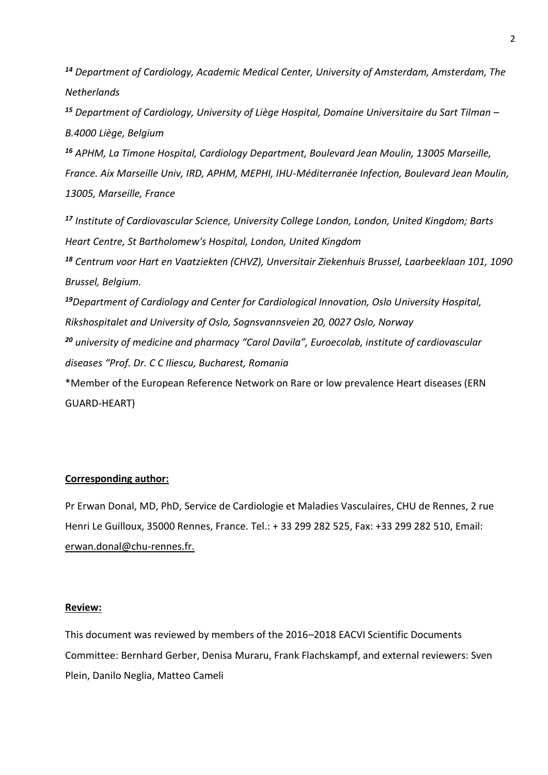*<sup>14</sup> Department of Cardiology, Academic Medical Center, University of Amsterdam, Amsterdam, The Netherlands*

*<sup>15</sup> Department of Cardiology, University of Liège Hospital, Domaine Universitaire du Sart Tilman – B.4000 Liège, Belgium*

*<sup>16</sup> APHM, La Timone Hospital, Cardiology Department, Boulevard Jean Moulin, 13005 Marseille, France. Aix Marseille Univ, IRD, APHM, MEPHI, IHU-Méditerranée Infection, Boulevard Jean Moulin, 13005, Marseille, France*

*<sup>17</sup> Institute of Cardiovascular Science, University College London, London, United Kingdom; Barts Heart Centre, St Bartholomew's Hospital, London, United Kingdom*

*<sup>18</sup> Centrum voor Hart en Vaatziekten (CHVZ), Unversitair Ziekenhuis Brussel, Laarbeeklaan 101, 1090 Brussel, Belgium.*

*<sup>19</sup>Department of Cardiology and Center for Cardiological Innovation, Oslo University Hospital, Rikshospitalet and University of Oslo, Sognsvannsveien 20, 0027 Oslo, Norway <sup>20</sup> university of medicine and pharmacy "Carol Davila", Euroecolab, institute of cardiovascular* 

*diseases "Prof. Dr. C C Iliescu, Bucharest, Romania*

\*Member of the European Reference Network on Rare or low prevalence Heart diseases (ERN GUARD-HEART)

# **Corresponding author:**

Pr Erwan Donal, MD, PhD, Service de Cardiologie et Maladies Vasculaires, CHU de Rennes, 2 rue Henri Le Guilloux, 35000 Rennes, France. Tel.: + 33 299 282 525, Fax: +33 299 282 510, Email: [erwan.donal@chu-rennes.fr.](mailto:vincent.auffret@chu-rennes.fr)

# **Review:**

This document was reviewed by members of the 2016–2018 EACVI Scientific Documents Committee: Bernhard Gerber, Denisa Muraru, Frank Flachskampf, and external reviewers: Sven Plein, Danilo Neglia, Matteo Cameli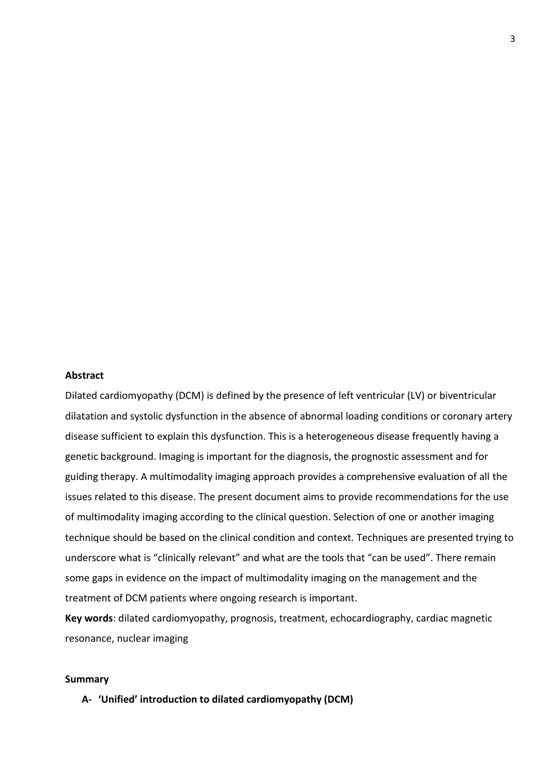## **Abstract**

Dilated cardiomyopathy (DCM) is defined by the presence of left ventricular (LV) or biventricular dilatation and systolic dysfunction in the absence of abnormal loading conditions or coronary artery disease sufficient to explain this dysfunction. This is a heterogeneous disease frequently having a genetic background. Imaging is important for the diagnosis, the prognostic assessment and for guiding therapy. A multimodality imaging approach provides a comprehensive evaluation of all the issues related to this disease. The present document aims to provide recommendations for the use of multimodality imaging according to the clinical question. Selection of one or another imaging technique should be based on the clinical condition and context. Techniques are presented trying to underscore what is "clinically relevant" and what are the tools that "can be used". There remain some gaps in evidence on the impact of multimodality imaging on the management and the treatment of DCM patients where ongoing research is important.

**Key words**: dilated cardiomyopathy, prognosis, treatment, echocardiography, cardiac magnetic resonance, nuclear imaging

#### **Summary**

### **A- 'Unified' introduction to dilated cardiomyopathy (DCM)**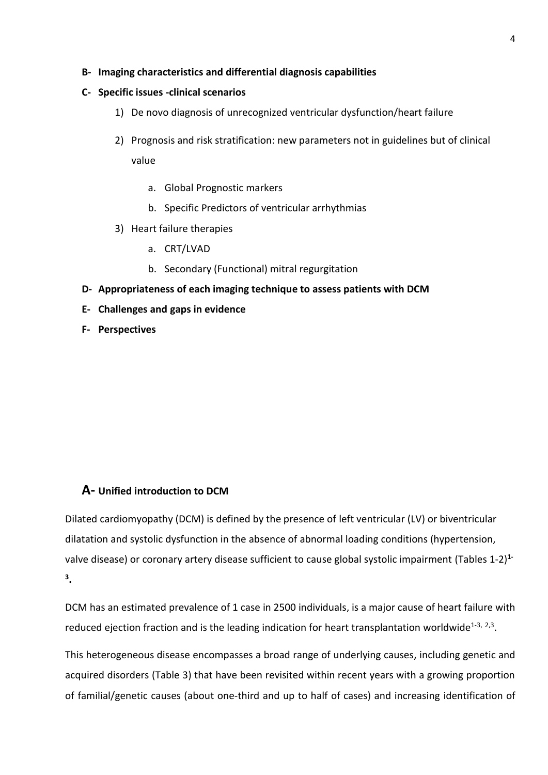- **B- Imaging characteristics and differential diagnosis capabilities**
- **C- Specific issues -clinical scenarios**
	- 1) De novo diagnosis of unrecognized ventricular dysfunction/heart failure
	- 2) Prognosis and risk stratification: new parameters not in guidelines but of clinical value
		- a. Global Prognostic markers
		- b. Specific Predictors of ventricular arrhythmias
	- 3) Heart failure therapies
		- a. CRT/LVAD
		- b. Secondary (Functional) mitral regurgitation
- **D- Appropriateness of each imaging technique to assess patients with DCM**
- **E- Challenges and gaps in evidence**
- **F- Perspectives**

# **A- Unified introduction to DCM**

Dilated cardiomyopathy (DCM) is defined by the presence of left ventricular (LV) or biventricular dilatation and systolic dysfunction in the absence of abnormal loading conditions (hypertension, valve disease) or coronary artery disease sufficient to cause global systolic impairment (Tables 1-2) **1- 3 .**

DCM has an estimated prevalence of 1 case in 2500 individuals, is a major cause of heart failure with reduced ejection fraction and is the leading indication for heart transplantation worldwide<sup>1-3, 2,3</sup>.

This heterogeneous disease encompasses a broad range of underlying causes, including genetic and acquired disorders (Table 3) that have been revisited within recent years with a growing proportion of familial/genetic causes (about one-third and up to half of cases) and increasing identification of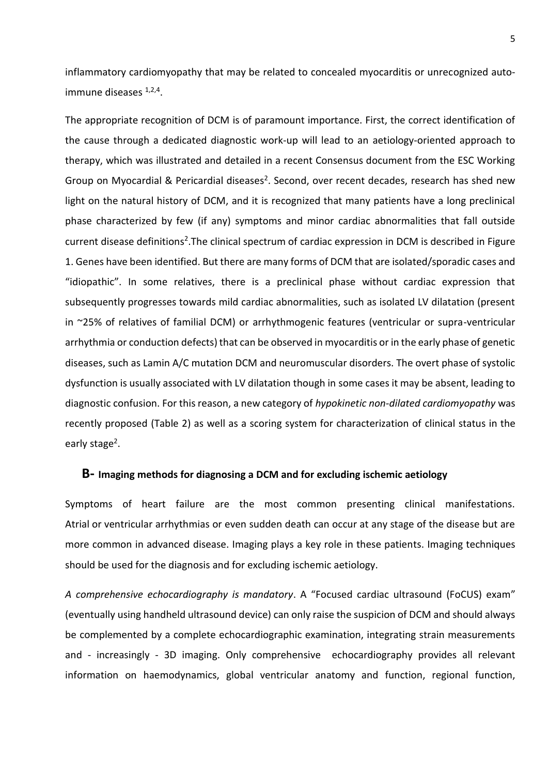inflammatory cardiomyopathy that may be related to concealed myocarditis or unrecognized autoimmune diseases 1,2,4.

The appropriate recognition of DCM is of paramount importance. First, the correct identification of the cause through a dedicated diagnostic work-up will lead to an aetiology-oriented approach to therapy, which was illustrated and detailed in a recent Consensus document from the ESC Working Group on Myocardial & Pericardial diseases<sup>2</sup>. Second, over recent decades, research has shed new light on the natural history of DCM, and it is recognized that many patients have a long preclinical phase characterized by few (if any) symptoms and minor cardiac abnormalities that fall outside current disease definitions<sup>2</sup>. The clinical spectrum of cardiac expression in DCM is described in Figure 1. Genes have been identified. But there are many forms of DCM that are isolated/sporadic cases and "idiopathic". In some relatives, there is a preclinical phase without cardiac expression that subsequently progresses towards mild cardiac abnormalities, such as isolated LV dilatation (present in ~25% of relatives of familial DCM) or arrhythmogenic features (ventricular or supra-ventricular arrhythmia or conduction defects) that can be observed in myocarditis or in the early phase of genetic diseases, such as Lamin A/C mutation DCM and neuromuscular disorders. The overt phase of systolic dysfunction is usually associated with LV dilatation though in some cases it may be absent, leading to diagnostic confusion. For this reason, a new category of *hypokinetic non-dilated cardiomyopathy* was recently proposed (Table 2) as well as a scoring system for characterization of clinical status in the early stage<sup>2</sup>.

# **B- Imaging methods for diagnosing a DCM and for excluding ischemic aetiology**

Symptoms of heart failure are the most common presenting clinical manifestations. Atrial or ventricular arrhythmias or even sudden death can occur at any stage of the disease but are more common in advanced disease. Imaging plays a key role in these patients. Imaging techniques should be used for the diagnosis and for excluding ischemic aetiology.

*A comprehensive echocardiography is mandatory*. A "Focused cardiac ultrasound (FoCUS) exam" (eventually using handheld ultrasound device) can only raise the suspicion of DCM and should always be complemented by a complete echocardiographic examination, integrating strain measurements and - increasingly - 3D imaging. Only comprehensive echocardiography provides all relevant information on haemodynamics, global ventricular anatomy and function, regional function,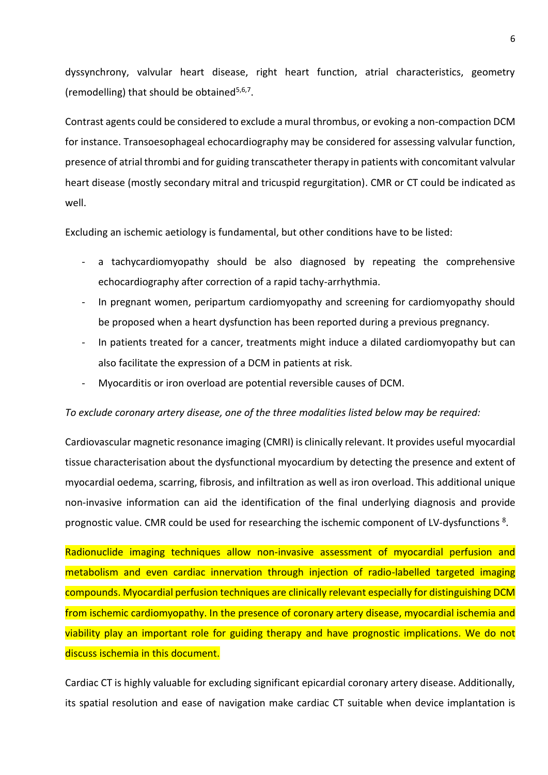dyssynchrony, valvular heart disease, right heart function, atrial characteristics, geometry (remodelling) that should be obtained<sup>5,6,7</sup>.

Contrast agents could be considered to exclude a mural thrombus, or evoking a non-compaction DCM for instance. Transoesophageal echocardiography may be considered for assessing valvular function, presence of atrial thrombi and for guiding transcatheter therapy in patients with concomitant valvular heart disease (mostly secondary mitral and tricuspid regurgitation). CMR or CT could be indicated as well.

Excluding an ischemic aetiology is fundamental, but other conditions have to be listed:

- a tachycardiomyopathy should be also diagnosed by repeating the comprehensive echocardiography after correction of a rapid tachy-arrhythmia.
- In pregnant women, peripartum cardiomyopathy and screening for cardiomyopathy should be proposed when a heart dysfunction has been reported during a previous pregnancy.
- In patients treated for a cancer, treatments might induce a dilated cardiomyopathy but can also facilitate the expression of a DCM in patients at risk.
- Myocarditis or iron overload are potential reversible causes of DCM.

### *To exclude coronary artery disease, one of the three modalities listed below may be required:*

Cardiovascular magnetic resonance imaging (CMRI) is clinically relevant. It provides useful myocardial tissue characterisation about the dysfunctional myocardium by detecting the presence and extent of myocardial oedema, scarring, fibrosis, and infiltration as well as iron overload. This additional unique non-invasive information can aid the identification of the final underlying diagnosis and provide prognostic value. CMR could be used for researching the ischemic component of LV-dysfunctions<sup>8</sup>.

Radionuclide imaging techniques allow non-invasive assessment of myocardial perfusion and metabolism and even cardiac innervation through injection of radio-labelled targeted imaging compounds. Myocardial perfusion techniques are clinically relevant especially for distinguishing DCM from ischemic cardiomyopathy. In the presence of coronary artery disease, myocardial ischemia and viability play an important role for guiding therapy and have prognostic implications. We do not discuss ischemia in this document.

Cardiac CT is highly valuable for excluding significant epicardial coronary artery disease. Additionally, its spatial resolution and ease of navigation make cardiac CT suitable when device implantation is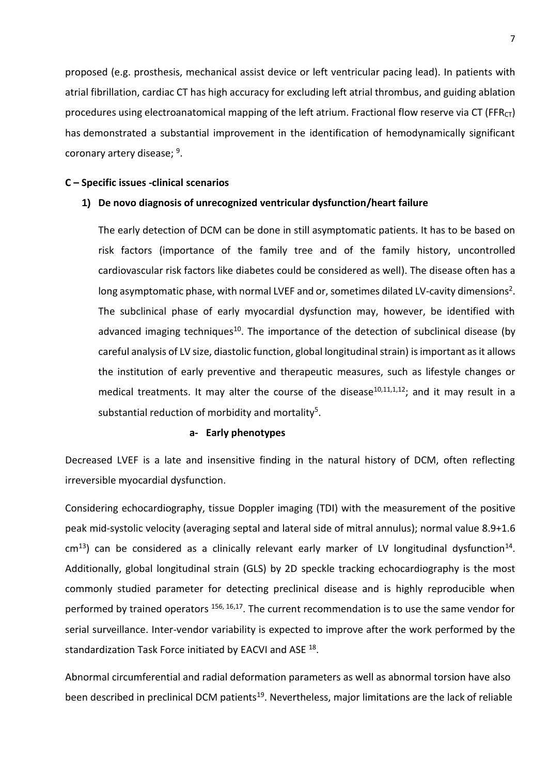proposed (e.g. prosthesis, mechanical assist device or left ventricular pacing lead). In patients with atrial fibrillation, cardiac CT has high accuracy for excluding left atrial thrombus, and guiding ablation procedures using electroanatomical mapping of the left atrium. Fractional flow reserve via CT (FFR $_{CT}$ ) has demonstrated a substantial improvement in the identification of hemodynamically significant coronary artery disease; <sup>9</sup>.

## **C – Specific issues -clinical scenarios**

## **1) De novo diagnosis of unrecognized ventricular dysfunction/heart failure**

The early detection of DCM can be done in still asymptomatic patients. It has to be based on risk factors (importance of the family tree and of the family history, uncontrolled cardiovascular risk factors like diabetes could be considered as well). The disease often has a long asymptomatic phase, with normal LVEF and or, sometimes dilated LV-cavity dimensions<sup>2</sup>. The subclinical phase of early myocardial dysfunction may, however, be identified with advanced imaging techniques<sup>10</sup>. The importance of the detection of subclinical disease (by careful analysis of LV size, diastolic function, global longitudinal strain) is important as it allows the institution of early preventive and therapeutic measures, such as lifestyle changes or medical treatments. It may alter the course of the disease<sup>10,11,1,12</sup>; and it may result in a substantial reduction of morbidity and mortality<sup>5</sup>.

### **a- Early phenotypes**

Decreased LVEF is a late and insensitive finding in the natural history of DCM, often reflecting irreversible myocardial dysfunction.

Considering echocardiography, tissue Doppler imaging (TDI) with the measurement of the positive peak mid-systolic velocity (averaging septal and lateral side of mitral annulus); normal value 8.9+1.6  $cm<sup>13</sup>$ ) can be considered as a clinically relevant early marker of LV longitudinal dysfunction<sup>14</sup>. Additionally, global longitudinal strain (GLS) by 2D speckle tracking echocardiography is the most commonly studied parameter for detecting preclinical disease and is highly reproducible when performed by trained operators <sup>156, 16,17</sup>. The current recommendation is to use the same vendor for serial surveillance. Inter-vendor variability is expected to improve after the work performed by the standardization Task Force initiated by EACVI and ASE <sup>18</sup>.

Abnormal circumferential and radial deformation parameters as well as abnormal torsion have also been described in preclinical DCM patients<sup>19</sup>. Nevertheless, major limitations are the lack of reliable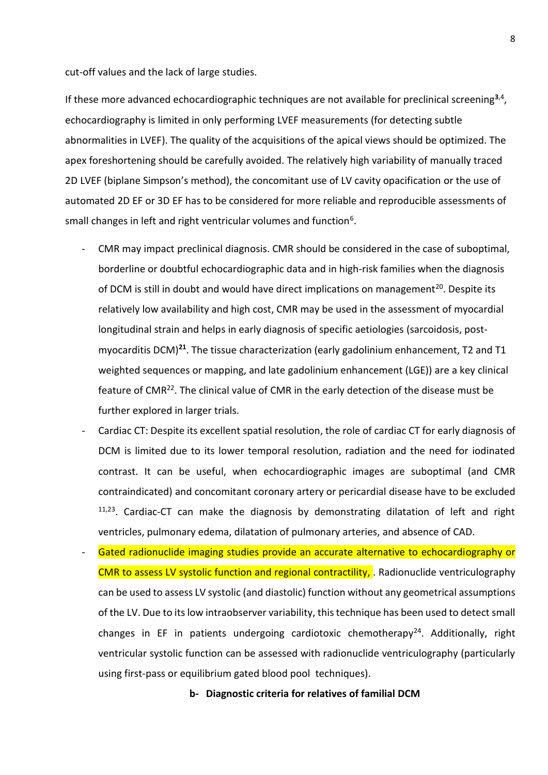cut-off values and the lack of large studies.

If these more advanced echocardiographic techniques are not available for preclinical screening**<sup>3</sup>**,4 , echocardiography is limited in only performing LVEF measurements (for detecting subtle abnormalities in LVEF). The quality of the acquisitions of the apical views should be optimized. The apex foreshortening should be carefully avoided. The relatively high variability of manually traced 2D LVEF (biplane Simpson's method), the concomitant use of LV cavity opacification or the use of automated 2D EF or 3D EF has to be considered for more reliable and reproducible assessments of small changes in left and right ventricular volumes and function<sup>6</sup>.

- CMR may impact preclinical diagnosis. CMR should be considered in the case of suboptimal, borderline or doubtful echocardiographic data and in high-risk families when the diagnosis of DCM is still in doubt and would have direct implications on management<sup>20</sup>. Despite its relatively low availability and high cost, CMR may be used in the assessment of myocardial longitudinal strain and helps in early diagnosis of specific aetiologies (sarcoidosis, postmyocarditis DCM)**<sup>21</sup>**. The tissue characterization (early gadolinium enhancement, T2 and T1 weighted sequences or mapping, and late gadolinium enhancement (LGE)) are a key clinical feature of CMR<sup>22</sup>. The clinical value of CMR in the early detection of the disease must be further explored in larger trials.
- Cardiac CT: Despite its excellent spatial resolution, the role of cardiac CT for early diagnosis of DCM is limited due to its lower temporal resolution, radiation and the need for iodinated contrast. It can be useful, when echocardiographic images are suboptimal (and CMR contraindicated) and concomitant coronary artery or pericardial disease have to be excluded <sup>11,23</sup>. Cardiac-CT can make the diagnosis by demonstrating dilatation of left and right ventricles, pulmonary edema, dilatation of pulmonary arteries, and absence of CAD.
- Gated radionuclide imaging studies provide an accurate alternative to echocardiography or CMR to assess LV systolic function and regional contractility, . Radionuclide ventriculography can be used to assess LV systolic (and diastolic) function without any geometrical assumptions of the LV. Due to its low intraobserver variability, this technique has been used to detect small changes in EF in patients undergoing cardiotoxic chemotherapy<sup>24</sup>. Additionally, right ventricular systolic function can be assessed with radionuclide ventriculography (particularly using first-pass or equilibrium gated blood pool techniques).

**b- Diagnostic criteria for relatives of familial DCM**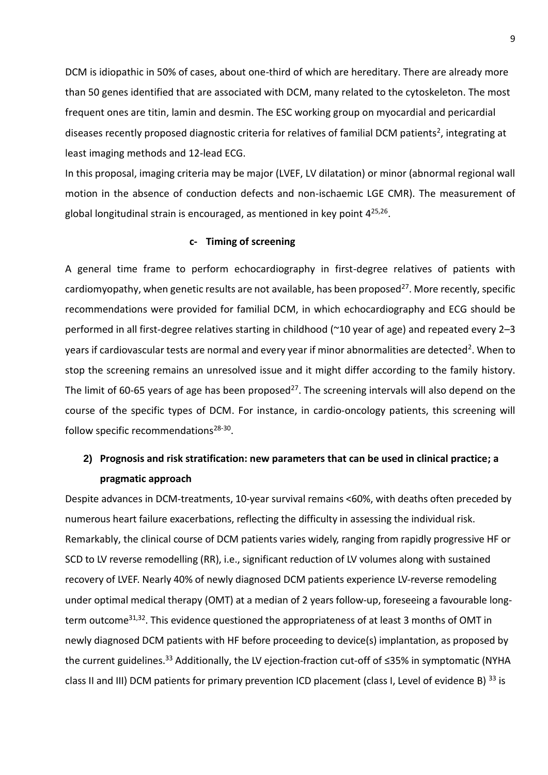DCM is idiopathic in 50% of cases, about one-third of which are hereditary. There are already more than 50 genes identified that are associated with DCM, many related to the cytoskeleton. The most frequent ones are titin, lamin and desmin. The ESC working group on myocardial and pericardial diseases recently proposed diagnostic criteria for relatives of familial DCM patients<sup>2</sup>, integrating at least imaging methods and 12-lead ECG.

In this proposal, imaging criteria may be major (LVEF, LV dilatation) or minor (abnormal regional wall motion in the absence of conduction defects and non-ischaemic LGE CMR). The measurement of global longitudinal strain is encouraged, as mentioned in key point 4<sup>25,26</sup>.

### **c- Timing of screening**

A general time frame to perform echocardiography in first-degree relatives of patients with cardiomyopathy, when genetic results are not available, has been proposed<sup>27</sup>. More recently, specific recommendations were provided for familial DCM, in which echocardiography and ECG should be performed in all first-degree relatives starting in childhood (~10 year of age) and repeated every 2–3 years if cardiovascular tests are normal and every year if minor abnormalities are detected<sup>2</sup>. When to stop the screening remains an unresolved issue and it might differ according to the family history. The limit of 60-65 years of age has been proposed<sup>27</sup>. The screening intervals will also depend on the course of the specific types of DCM. For instance, in cardio-oncology patients, this screening will follow specific recommendations<sup>28-30</sup>.

# **2) Prognosis and risk stratification: new parameters that can be used in clinical practice; a pragmatic approach**

Despite advances in DCM-treatments, 10-year survival remains <60%, with deaths often preceded by numerous heart failure exacerbations, reflecting the difficulty in assessing the individual risk. Remarkably, the clinical course of DCM patients varies widely, ranging from rapidly progressive HF or SCD to LV reverse remodelling (RR), i.e., significant reduction of LV volumes along with sustained recovery of LVEF. Nearly 40% of newly diagnosed DCM patients experience LV-reverse remodeling under optimal medical therapy (OMT) at a median of 2 years follow-up, foreseeing a favourable longterm outcome<sup>31,32</sup>. This evidence questioned the appropriateness of at least 3 months of OMT in newly diagnosed DCM patients with HF before proceeding to device(s) implantation, as proposed by the current guidelines.<sup>33</sup> Additionally, the LV ejection-fraction cut-off of ≤35% in symptomatic (NYHA class II and III) DCM patients for primary prevention ICD placement (class I, Level of evidence B) <sup>33</sup> is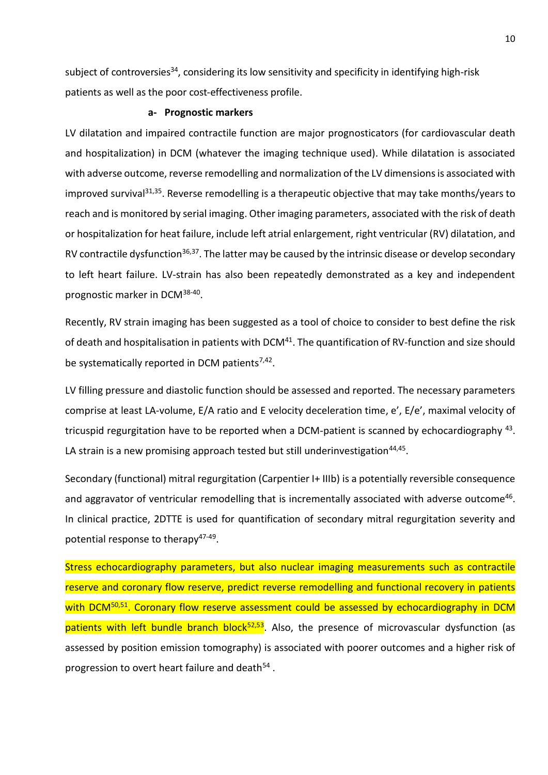subject of controversies<sup>34</sup>, considering its low sensitivity and specificity in identifying high-risk patients as well as the poor cost-effectiveness profile.

#### **a- Prognostic markers**

LV dilatation and impaired contractile function are major prognosticators (for cardiovascular death and hospitalization) in DCM (whatever the imaging technique used). While dilatation is associated with adverse outcome, reverse remodelling and normalization of the LV dimensions is associated with improved survival<sup>31,35</sup>. Reverse remodelling is a therapeutic objective that may take months/years to reach and is monitored by serial imaging. Other imaging parameters, associated with the risk of death or hospitalization for heat failure, include left atrial enlargement, right ventricular (RV) dilatation, and RV contractile dysfunction<sup>36,37</sup>. The latter may be caused by the intrinsic disease or develop secondary to left heart failure. LV-strain has also been repeatedly demonstrated as a key and independent prognostic marker in DCM<sup>38-40</sup>.

Recently, RV strain imaging has been suggested as a tool of choice to consider to best define the risk of death and hospitalisation in patients with DCM<sup>41</sup>. The quantification of RV-function and size should be systematically reported in DCM patients<sup>7,42</sup>.

LV filling pressure and diastolic function should be assessed and reported. The necessary parameters comprise at least LA-volume, E/A ratio and E velocity deceleration time, e', E/e', maximal velocity of tricuspid regurgitation have to be reported when a DCM-patient is scanned by echocardiography <sup>43</sup>. LA strain is a new promising approach tested but still underinvestigation<sup>44,45</sup>.

Secondary (functional) mitral regurgitation (Carpentier I+ IIIb) is a potentially reversible consequence and aggravator of ventricular remodelling that is incrementally associated with adverse outcome<sup>46</sup>. In clinical practice, 2DTTE is used for quantification of secondary mitral regurgitation severity and potential response to therapy<sup>47-49</sup>.

Stress echocardiography parameters, but also nuclear imaging measurements such as contractile reserve and coronary flow reserve, predict reverse remodelling and functional recovery in patients with DCM<sup>50,51</sup>. Coronary flow reserve assessment could be assessed by echocardiography in DCM patients with left bundle branch block<sup>52,53</sup>. Also, the presence of microvascular dysfunction (as assessed by position emission tomography) is associated with poorer outcomes and a higher risk of progression to overt heart failure and death<sup>54</sup>.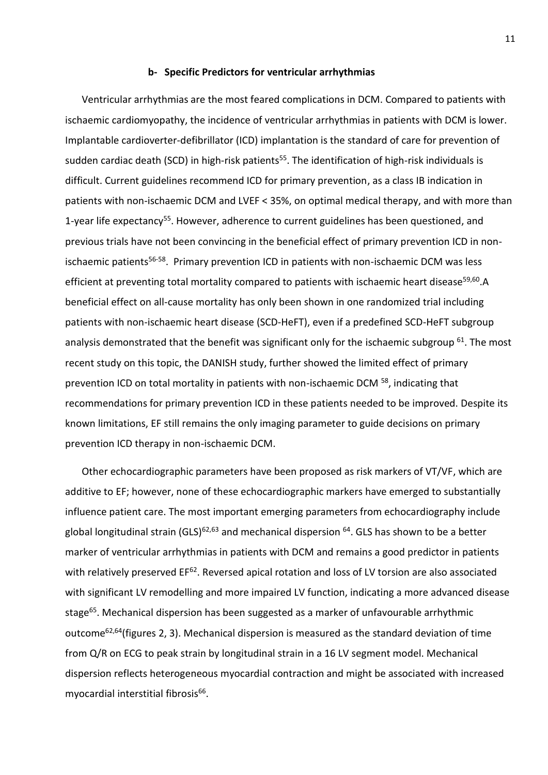### **b- Specific Predictors for ventricular arrhythmias**

Ventricular arrhythmias are the most feared complications in DCM. Compared to patients with ischaemic cardiomyopathy, the incidence of ventricular arrhythmias in patients with DCM is lower. Implantable cardioverter-defibrillator (ICD) implantation is the standard of care for prevention of sudden cardiac death (SCD) in high-risk patients<sup>55</sup>. The identification of high-risk individuals is difficult. Current guidelines recommend ICD for primary prevention, as a class IB indication in patients with non-ischaemic DCM and LVEF < 35%, on optimal medical therapy, and with more than 1-year life expectancy<sup>55</sup>. However, adherence to current guidelines has been questioned, and previous trials have not been convincing in the beneficial effect of primary prevention ICD in nonischaemic patients<sup>56-58</sup>. Primary prevention ICD in patients with non-ischaemic DCM was less efficient at preventing total mortality compared to patients with ischaemic heart disease<sup>59,60</sup>.A beneficial effect on all-cause mortality has only been shown in one randomized trial including patients with non-ischaemic heart disease (SCD-HeFT), even if a predefined SCD-HeFT subgroup analysis demonstrated that the benefit was significant only for the ischaemic subgroup  $61$ . The most recent study on this topic, the DANISH study, further showed the limited effect of primary prevention ICD on total mortality in patients with non-ischaemic DCM <sup>58</sup>, indicating that recommendations for primary prevention ICD in these patients needed to be improved. Despite its known limitations, EF still remains the only imaging parameter to guide decisions on primary prevention ICD therapy in non-ischaemic DCM.

Other echocardiographic parameters have been proposed as risk markers of VT/VF, which are additive to EF; however, none of these echocardiographic markers have emerged to substantially influence patient care. The most important emerging parameters from echocardiography include global longitudinal strain (GLS)<sup>62,63</sup> and mechanical dispersion  $^{64}$ . GLS has shown to be a better marker of ventricular arrhythmias in patients with DCM and remains a good predictor in patients with relatively preserved EF<sup>62</sup>. Reversed apical rotation and loss of LV torsion are also associated with significant LV remodelling and more impaired LV function, indicating a more advanced disease stage<sup>65</sup>. Mechanical dispersion has been suggested as a marker of unfavourable arrhythmic outcome62,64(figures 2, 3). Mechanical dispersion is measured as the standard deviation of time from Q/R on ECG to peak strain by longitudinal strain in a 16 LV segment model. Mechanical dispersion reflects heterogeneous myocardial contraction and might be associated with increased myocardial interstitial fibrosis<sup>66</sup>.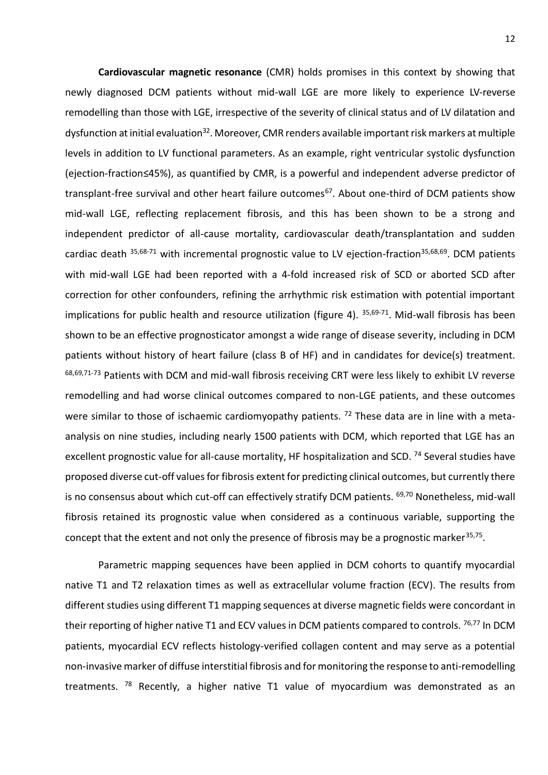**Cardiovascular magnetic resonance** (CMR) holds promises in this context by showing that newly diagnosed DCM patients without mid-wall LGE are more likely to experience LV-reverse remodelling than those with LGE, irrespective of the severity of clinical status and of LV dilatation and dysfunction at initial evaluation<sup>32</sup>. Moreover, CMR renders available important risk markers at multiple levels in addition to LV functional parameters. As an example, right ventricular systolic dysfunction (ejection-fraction≤45%), as quantified by CMR, is a powerful and independent adverse predictor of transplant-free survival and other heart failure outcomes<sup>67</sup>. About one-third of DCM patients show mid-wall LGE, reflecting replacement fibrosis, and this has been shown to be a strong and independent predictor of all-cause mortality, cardiovascular death/transplantation and sudden cardiac death  $35,68-71$  with incremental prognostic value to LV ejection-fraction<sup>35,68,69</sup>. DCM patients with mid-wall LGE had been reported with a 4-fold increased risk of SCD or aborted SCD after correction for other confounders, refining the arrhythmic risk estimation with potential important implications for public health and resource utilization (figure 4). <sup>35,69-71</sup>. Mid-wall fibrosis has been shown to be an effective prognosticator amongst a wide range of disease severity, including in DCM patients without history of heart failure (class B of HF) and in candidates for device(s) treatment. 68,69,71-73 Patients with DCM and mid-wall fibrosis receiving CRT were less likely to exhibit LV reverse remodelling and had worse clinical outcomes compared to non-LGE patients, and these outcomes were similar to those of ischaemic cardiomyopathy patients. <sup>72</sup> These data are in line with a metaanalysis on nine studies, including nearly 1500 patients with DCM, which reported that LGE has an excellent prognostic value for all-cause mortality, HF hospitalization and SCD.<sup>74</sup> Several studies have proposed diverse cut-off values for fibrosis extent for predicting clinical outcomes, but currently there is no consensus about which cut-off can effectively stratify DCM patients. <sup>69,70</sup> Nonetheless, mid-wall fibrosis retained its prognostic value when considered as a continuous variable, supporting the concept that the extent and not only the presence of fibrosis may be a prognostic marker<sup>35,75</sup>.

Parametric mapping sequences have been applied in DCM cohorts to quantify myocardial native T1 and T2 relaxation times as well as extracellular volume fraction (ECV). The results from different studies using different T1 mapping sequences at diverse magnetic fields were concordant in their reporting of higher native T1 and ECV values in DCM patients compared to controls. <sup>76,77</sup> In DCM patients, myocardial ECV reflects histology-verified collagen content and may serve as a potential non-invasive marker of diffuse interstitial fibrosis and for monitoring the response to anti-remodelling treatments.  $78$  Recently, a higher native T1 value of myocardium was demonstrated as an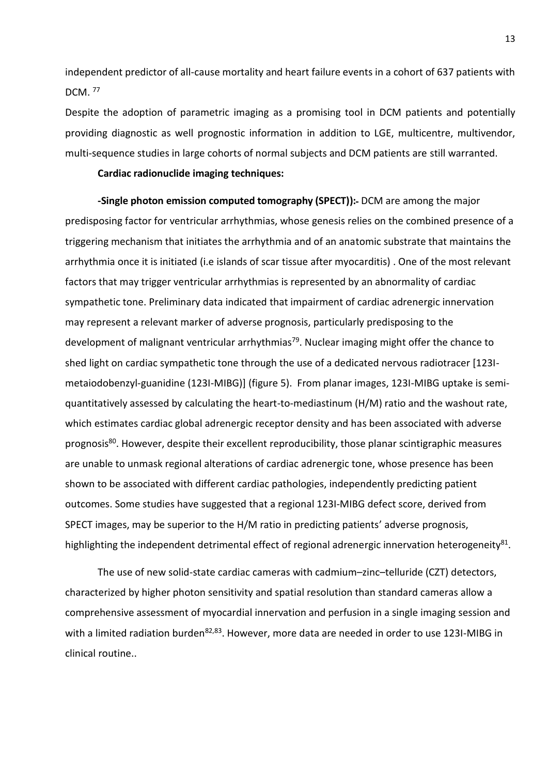independent predictor of all-cause mortality and heart failure events in a cohort of 637 patients with DCM. <sup>77</sup>

Despite the adoption of parametric imaging as a promising tool in DCM patients and potentially providing diagnostic as well prognostic information in addition to LGE, multicentre, multivendor, multi-sequence studies in large cohorts of normal subjects and DCM patients are still warranted.

#### **Cardiac radionuclide imaging techniques:**

**-Single photon emission computed tomography (SPECT)):** DCM are among the major predisposing factor for ventricular arrhythmias, whose genesis relies on the combined presence of a triggering mechanism that initiates the arrhythmia and of an anatomic substrate that maintains the arrhythmia once it is initiated (i.e islands of scar tissue after myocarditis) . One of the most relevant factors that may trigger ventricular arrhythmias is represented by an abnormality of cardiac sympathetic tone. Preliminary data indicated that impairment of cardiac adrenergic innervation may represent a relevant marker of adverse prognosis, particularly predisposing to the development of malignant ventricular arrhythmias<sup>79</sup>. Nuclear imaging might offer the chance to shed light on cardiac sympathetic tone through the use of a dedicated nervous radiotracer [123Imetaiodobenzyl-guanidine (123I-MIBG)] (figure 5). From planar images, 123I-MIBG uptake is semiquantitatively assessed by calculating the heart-to-mediastinum (H/M) ratio and the washout rate, which estimates cardiac global adrenergic receptor density and has been associated with adverse prognosis<sup>80</sup>. However, despite their excellent reproducibility, those planar scintigraphic measures are unable to unmask regional alterations of cardiac adrenergic tone, whose presence has been shown to be associated with different cardiac pathologies, independently predicting patient outcomes. Some studies have suggested that a regional 123I-MIBG defect score, derived from SPECT images, may be superior to the H/M ratio in predicting patients' adverse prognosis, highlighting the independent detrimental effect of regional adrenergic innervation heterogeneity<sup>81</sup>.

The use of new solid-state cardiac cameras with cadmium–zinc–telluride (CZT) detectors, characterized by higher photon sensitivity and spatial resolution than standard cameras allow a comprehensive assessment of myocardial innervation and perfusion in a single imaging session and with a limited radiation burden<sup>82,83</sup>. However, more data are needed in order to use 123I-MIBG in clinical routine..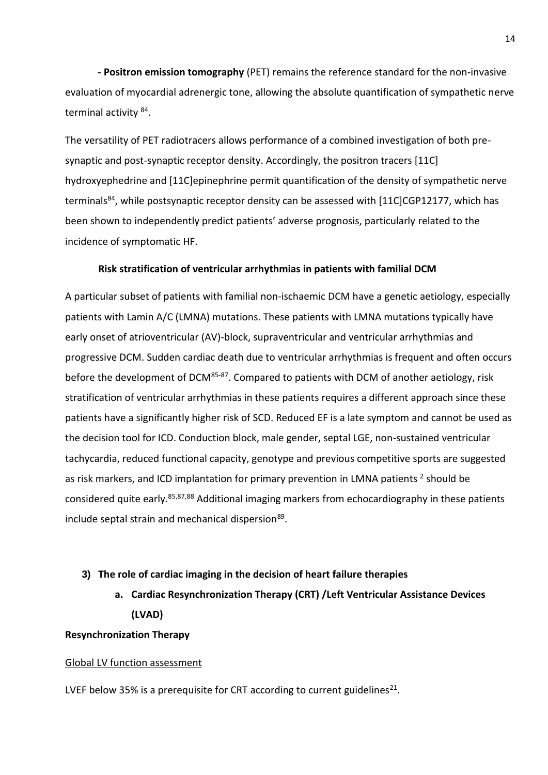**- Positron emission tomography** (PET) remains the reference standard for the non-invasive evaluation of myocardial adrenergic tone, allowing the absolute quantification of sympathetic nerve terminal activity <sup>84</sup>.

The versatility of PET radiotracers allows performance of a combined investigation of both presynaptic and post-synaptic receptor density. Accordingly, the positron tracers [11C] hydroxyephedrine and [11C]epinephrine permit quantification of the density of sympathetic nerve terminals<sup>84</sup>, while postsynaptic receptor density can be assessed with [11C]CGP12177, which has been shown to independently predict patients' adverse prognosis, particularly related to the incidence of symptomatic HF.

## **Risk stratification of ventricular arrhythmias in patients with familial DCM**

A particular subset of patients with familial non-ischaemic DCM have a genetic aetiology, especially patients with Lamin A/C (LMNA) mutations. These patients with LMNA mutations typically have early onset of atrioventricular (AV)-block, supraventricular and ventricular arrhythmias and progressive DCM. Sudden cardiac death due to ventricular arrhythmias is frequent and often occurs before the development of DCM<sup>85-87</sup>. Compared to patients with DCM of another aetiology, risk stratification of ventricular arrhythmias in these patients requires a different approach since these patients have a significantly higher risk of SCD. Reduced EF is a late symptom and cannot be used as the decision tool for ICD. Conduction block, male gender, septal LGE, non-sustained ventricular tachycardia, reduced functional capacity, genotype and previous competitive sports are suggested as risk markers, and ICD implantation for primary prevention in LMNA patients  $^2$  should be considered quite early.<sup>85,87,88</sup> Additional imaging markers from echocardiography in these patients include septal strain and mechanical dispersion<sup>89</sup>.

### **3) The role of cardiac imaging in the decision of heart failure therapies**

**a. Cardiac Resynchronization Therapy (CRT) /Left Ventricular Assistance Devices (LVAD)** 

### **Resynchronization Therapy**

### Global LV function assessment

LVEF below 35% is a prerequisite for CRT according to current guidelines<sup>21</sup>.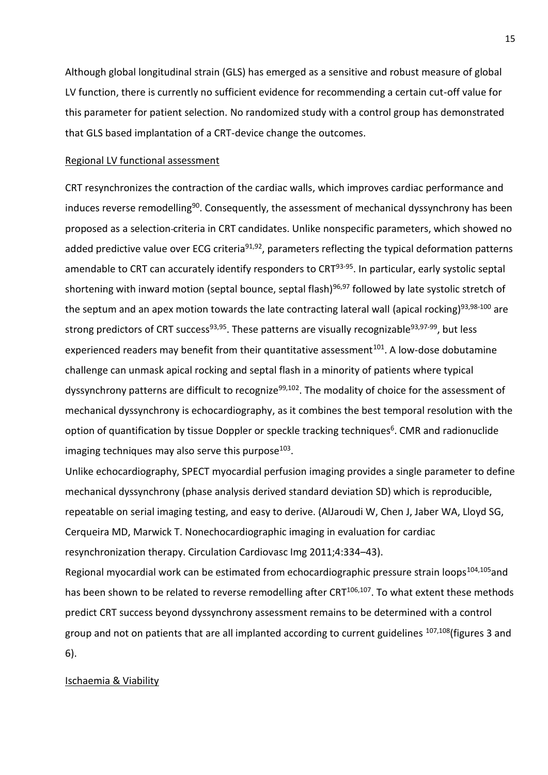Although global longitudinal strain (GLS) has emerged as a sensitive and robust measure of global LV function, there is currently no sufficient evidence for recommending a certain cut-off value for this parameter for patient selection. No randomized study with a control group has demonstrated that GLS based implantation of a CRT-device change the outcomes.

### Regional LV functional assessment

CRT resynchronizes the contraction of the cardiac walls, which improves cardiac performance and induces reverse remodelling<sup>90</sup>. Consequently, the assessment of mechanical dyssynchrony has been proposed as a selection criteria in CRT candidates. Unlike nonspecific parameters, which showed no added predictive value over ECG criteria<sup>91,92</sup>, parameters reflecting the typical deformation patterns amendable to CRT can accurately identify responders to CRT<sup>93-95</sup>. In particular, early systolic septal shortening with inward motion (septal bounce, septal flash)<sup>96,97</sup> followed by late systolic stretch of the septum and an apex motion towards the late contracting lateral wall (apical rocking)<sup>93,98-100</sup> are strong predictors of CRT success<sup>93,95</sup>. These patterns are visually recognizable<sup>93,97-99</sup>, but less experienced readers may benefit from their quantitative assessment<sup>101</sup>. A low-dose dobutamine challenge can unmask apical rocking and septal flash in a minority of patients where typical dyssynchrony patterns are difficult to recognize<sup>99,102</sup>. The modality of choice for the assessment of mechanical dyssynchrony is echocardiography, as it combines the best temporal resolution with the option of quantification by tissue Doppler or speckle tracking techniques<sup>6</sup>. CMR and radionuclide imaging techniques may also serve this purpose $^{103}$ .

Unlike echocardiography, SPECT myocardial perfusion imaging provides a single parameter to define mechanical dyssynchrony (phase analysis derived standard deviation SD) which is reproducible, repeatable on serial imaging testing, and easy to derive. (AlJaroudi W, Chen J, Jaber WA, Lloyd SG, Cerqueira MD, Marwick T. Nonechocardiographic imaging in evaluation for cardiac resynchronization therapy. Circulation Cardiovasc Img 2011;4:334–43).

Regional myocardial work can be estimated from echocardiographic pressure strain loops<sup>104,105</sup>and has been shown to be related to reverse remodelling after CRT<sup>106,107</sup>. To what extent these methods predict CRT success beyond dyssynchrony assessment remains to be determined with a control group and not on patients that are all implanted according to current guidelines <sup>107,108</sup>(figures 3 and 6).

### Ischaemia & Viability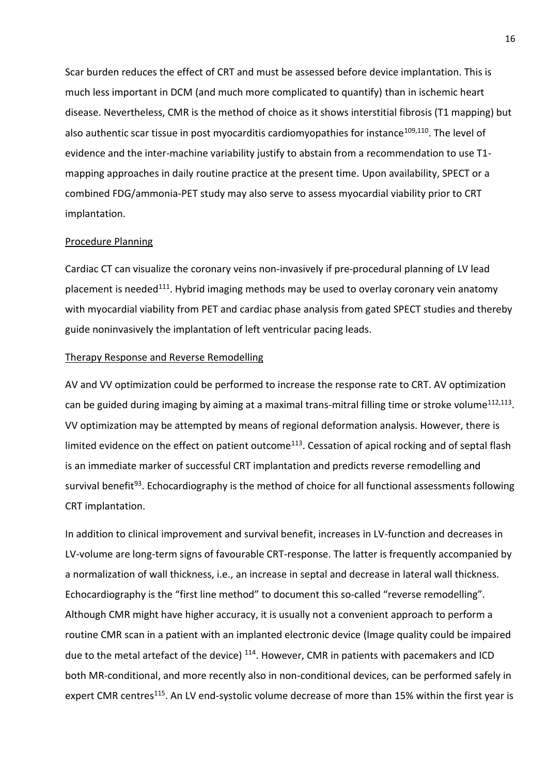Scar burden reduces the effect of CRT and must be assessed before device implantation. This is much less important in DCM (and much more complicated to quantify) than in ischemic heart disease. Nevertheless, CMR is the method of choice as it shows interstitial fibrosis (T1 mapping) but also authentic scar tissue in post myocarditis cardiomyopathies for instance<sup>109,110</sup>. The level of evidence and the inter-machine variability justify to abstain from a recommendation to use T1 mapping approaches in daily routine practice at the present time. Upon availability, SPECT or a combined FDG/ammonia-PET study may also serve to assess myocardial viability prior to CRT implantation.

### Procedure Planning

Cardiac CT can visualize the coronary veins non-invasively if pre-procedural planning of LV lead placement is needed<sup>111</sup>. Hybrid imaging methods may be used to overlay coronary vein anatomy with myocardial viability from PET and cardiac phase analysis from gated SPECT studies and thereby guide noninvasively the implantation of left ventricular pacing leads.

### Therapy Response and Reverse Remodelling

AV and VV optimization could be performed to increase the response rate to CRT. AV optimization can be guided during imaging by aiming at a maximal trans-mitral filling time or stroke volume<sup>112,113</sup>. VV optimization may be attempted by means of regional deformation analysis. However, there is limited evidence on the effect on patient outcome<sup>113</sup>. Cessation of apical rocking and of septal flash is an immediate marker of successful CRT implantation and predicts reverse remodelling and survival benefit<sup>93</sup>. Echocardiography is the method of choice for all functional assessments following CRT implantation.

In addition to clinical improvement and survival benefit, increases in LV-function and decreases in LV-volume are long-term signs of favourable CRT-response. The latter is frequently accompanied by a normalization of wall thickness, i.e., an increase in septal and decrease in lateral wall thickness. Echocardiography is the "first line method" to document this so-called "reverse remodelling". Although CMR might have higher accuracy, it is usually not a convenient approach to perform a routine CMR scan in a patient with an implanted electronic device (Image quality could be impaired due to the metal artefact of the device) <sup>114</sup>. However, CMR in patients with pacemakers and ICD both MR-conditional, and more recently also in non-conditional devices, can be performed safely in expert CMR centres<sup>115</sup>. An LV end-systolic volume decrease of more than 15% within the first year is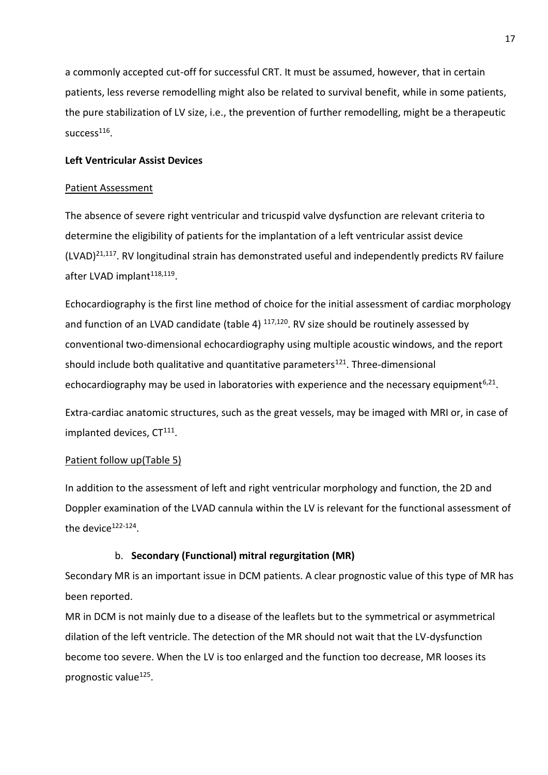a commonly accepted cut-off for successful CRT. It must be assumed, however, that in certain patients, less reverse remodelling might also be related to survival benefit, while in some patients, the pure stabilization of LV size, i.e., the prevention of further remodelling, might be a therapeutic success<sup>116</sup>.

# **Left Ventricular Assist Devices**

### Patient Assessment

The absence of severe right ventricular and tricuspid valve dysfunction are relevant criteria to determine the eligibility of patients for the implantation of a left ventricular assist device  $(LVAD)^{21,117}$ . RV longitudinal strain has demonstrated useful and independently predicts RV failure after LVAD implant<sup>118,119</sup>.

Echocardiography is the first line method of choice for the initial assessment of cardiac morphology and function of an LVAD candidate (table 4) <sup>117,120</sup>. RV size should be routinely assessed by conventional two-dimensional echocardiography using multiple acoustic windows, and the report should include both qualitative and quantitative parameters<sup>121</sup>. Three-dimensional echocardiography may be used in laboratories with experience and the necessary equipment<sup>6,21</sup>.

Extra-cardiac anatomic structures, such as the great vessels, may be imaged with MRI or, in case of implanted devices, CT<sup>111</sup>.

# Patient follow up(Table 5)

In addition to the assessment of left and right ventricular morphology and function, the 2D and Doppler examination of the LVAD cannula within the LV is relevant for the functional assessment of the device<sup>122-124</sup>.

# b. **Secondary (Functional) mitral regurgitation (MR)**

Secondary MR is an important issue in DCM patients. A clear prognostic value of this type of MR has been reported.

MR in DCM is not mainly due to a disease of the leaflets but to the symmetrical or asymmetrical dilation of the left ventricle. The detection of the MR should not wait that the LV-dysfunction become too severe. When the LV is too enlarged and the function too decrease, MR looses its prognostic value<sup>125</sup>.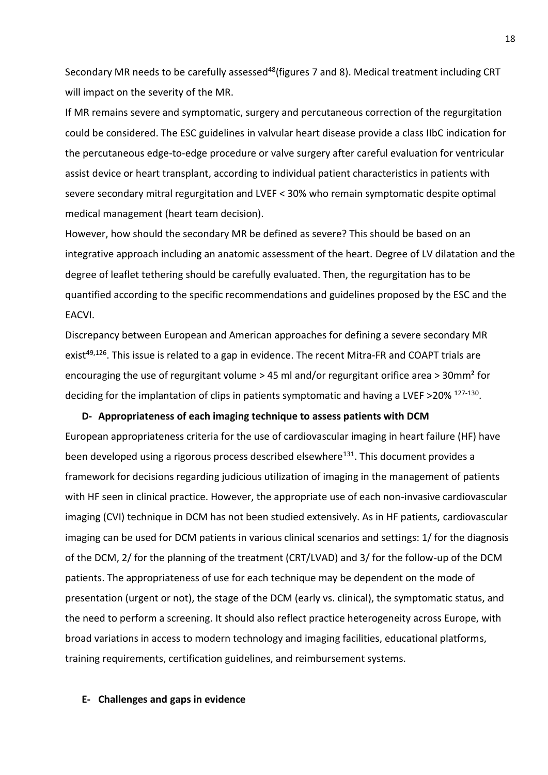Secondary MR needs to be carefully assessed<sup>48</sup>(figures 7 and 8). Medical treatment including CRT will impact on the severity of the MR.

If MR remains severe and symptomatic, surgery and percutaneous correction of the regurgitation could be considered. The ESC guidelines in valvular heart disease provide a class IIbC indication for the percutaneous edge-to-edge procedure or valve surgery after careful evaluation for ventricular assist device or heart transplant, according to individual patient characteristics in patients with severe secondary mitral regurgitation and LVEF < 30% who remain symptomatic despite optimal medical management (heart team decision).

However, how should the secondary MR be defined as severe? This should be based on an integrative approach including an anatomic assessment of the heart. Degree of LV dilatation and the degree of leaflet tethering should be carefully evaluated. Then, the regurgitation has to be quantified according to the specific recommendations and guidelines proposed by the ESC and the EACVI.

Discrepancy between European and American approaches for defining a severe secondary MR exist<sup>49,126</sup>. This issue is related to a gap in evidence. The recent Mitra-FR and COAPT trials are encouraging the use of regurgitant volume > 45 ml and/or regurgitant orifice area > 30mm² for deciding for the implantation of clips in patients symptomatic and having a LVEF >20% <sup>127-130</sup>.

#### **D- Appropriateness of each imaging technique to assess patients with DCM**

European appropriateness criteria for the use of cardiovascular imaging in heart failure (HF) have been developed using a rigorous process described elsewhere<sup>131</sup>. This document provides a framework for decisions regarding judicious utilization of imaging in the management of patients with HF seen in clinical practice. However, the appropriate use of each non-invasive cardiovascular imaging (CVI) technique in DCM has not been studied extensively. As in HF patients, cardiovascular imaging can be used for DCM patients in various clinical scenarios and settings: 1/ for the diagnosis of the DCM, 2/ for the planning of the treatment (CRT/LVAD) and 3/ for the follow-up of the DCM patients. The appropriateness of use for each technique may be dependent on the mode of presentation (urgent or not), the stage of the DCM (early vs. clinical), the symptomatic status, and the need to perform a screening. It should also reflect practice heterogeneity across Europe, with broad variations in access to modern technology and imaging facilities, educational platforms, training requirements, certification guidelines, and reimbursement systems.

### **E- Challenges and gaps in evidence**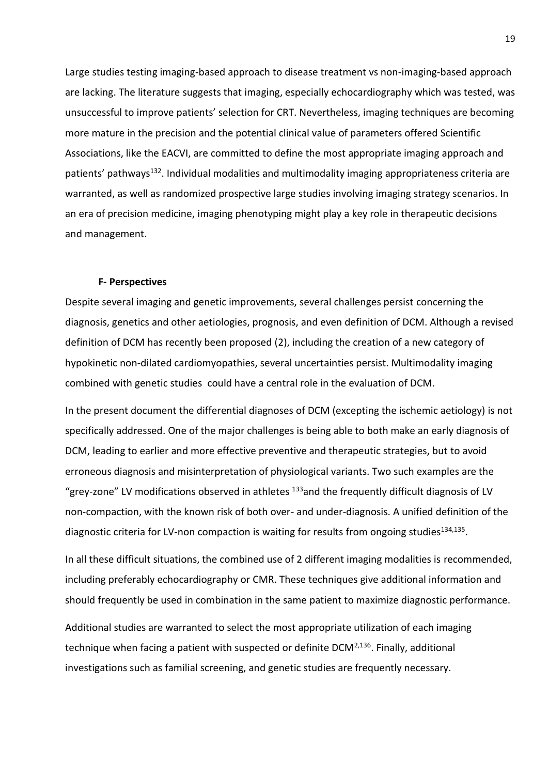Large studies testing imaging-based approach to disease treatment vs non-imaging-based approach are lacking. The literature suggests that imaging, especially echocardiography which was tested, was unsuccessful to improve patients' selection for CRT. Nevertheless, imaging techniques are becoming more mature in the precision and the potential clinical value of parameters offered Scientific Associations, like the EACVI, are committed to define the most appropriate imaging approach and patients' pathways<sup>132</sup>. Individual modalities and multimodality imaging appropriateness criteria are warranted, as well as randomized prospective large studies involving imaging strategy scenarios. In an era of precision medicine, imaging phenotyping might play a key role in therapeutic decisions and management.

#### **F- Perspectives**

Despite several imaging and genetic improvements, several challenges persist concerning the diagnosis, genetics and other aetiologies, prognosis, and even definition of DCM. Although a revised definition of DCM has recently been proposed (2), including the creation of a new category of hypokinetic non-dilated cardiomyopathies, several uncertainties persist. Multimodality imaging combined with genetic studies could have a central role in the evaluation of DCM.

In the present document the differential diagnoses of DCM (excepting the ischemic aetiology) is not specifically addressed. One of the major challenges is being able to both make an early diagnosis of DCM, leading to earlier and more effective preventive and therapeutic strategies, but to avoid erroneous diagnosis and misinterpretation of physiological variants. Two such examples are the "grey-zone" LV modifications observed in athletes  $^{133}$  and the frequently difficult diagnosis of LV non-compaction, with the known risk of both over- and under-diagnosis. A unified definition of the diagnostic criteria for LV-non compaction is waiting for results from ongoing studies<sup>134,135</sup>.

In all these difficult situations, the combined use of 2 different imaging modalities is recommended, including preferably echocardiography or CMR. These techniques give additional information and should frequently be used in combination in the same patient to maximize diagnostic performance.

Additional studies are warranted to select the most appropriate utilization of each imaging technique when facing a patient with suspected or definite  $DCM<sup>2,136</sup>$ . Finally, additional investigations such as familial screening, and genetic studies are frequently necessary.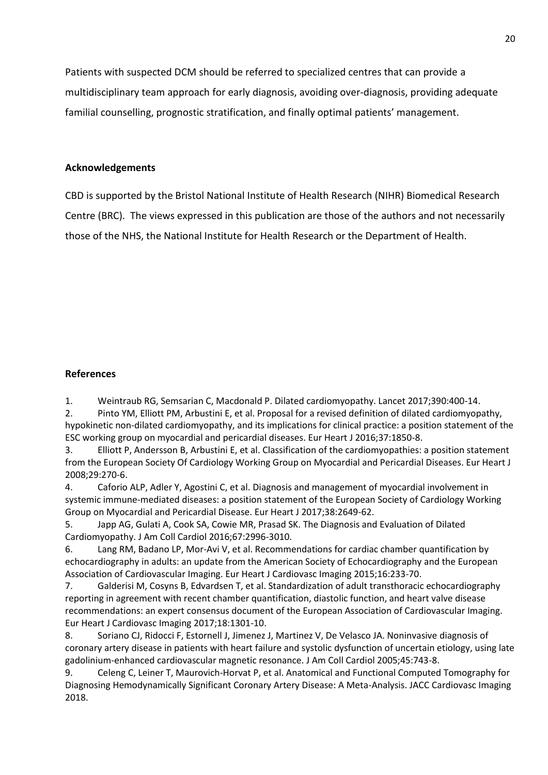Patients with suspected DCM should be referred to specialized centres that can provide a multidisciplinary team approach for early diagnosis, avoiding over-diagnosis, providing adequate familial counselling, prognostic stratification, and finally optimal patients' management.

# **Acknowledgements**

CBD is supported by the Bristol National Institute of Health Research (NIHR) Biomedical Research Centre (BRC). The views expressed in this publication are those of the authors and not necessarily those of the NHS, the National Institute for Health Research or the Department of Health.

## **References**

1. Weintraub RG, Semsarian C, Macdonald P. Dilated cardiomyopathy. Lancet 2017;390:400-14.

2. Pinto YM, Elliott PM, Arbustini E, et al. Proposal for a revised definition of dilated cardiomyopathy, hypokinetic non-dilated cardiomyopathy, and its implications for clinical practice: a position statement of the ESC working group on myocardial and pericardial diseases. Eur Heart J 2016;37:1850-8.

3. Elliott P, Andersson B, Arbustini E, et al. Classification of the cardiomyopathies: a position statement from the European Society Of Cardiology Working Group on Myocardial and Pericardial Diseases. Eur Heart J 2008;29:270-6.

4. Caforio ALP, Adler Y, Agostini C, et al. Diagnosis and management of myocardial involvement in systemic immune-mediated diseases: a position statement of the European Society of Cardiology Working Group on Myocardial and Pericardial Disease. Eur Heart J 2017;38:2649-62.

5. Japp AG, Gulati A, Cook SA, Cowie MR, Prasad SK. The Diagnosis and Evaluation of Dilated Cardiomyopathy. J Am Coll Cardiol 2016;67:2996-3010.

6. Lang RM, Badano LP, Mor-Avi V, et al. Recommendations for cardiac chamber quantification by echocardiography in adults: an update from the American Society of Echocardiography and the European Association of Cardiovascular Imaging. Eur Heart J Cardiovasc Imaging 2015;16:233-70.

7. Galderisi M, Cosyns B, Edvardsen T, et al. Standardization of adult transthoracic echocardiography reporting in agreement with recent chamber quantification, diastolic function, and heart valve disease recommendations: an expert consensus document of the European Association of Cardiovascular Imaging. Eur Heart J Cardiovasc Imaging 2017;18:1301-10.

8. Soriano CJ, Ridocci F, Estornell J, Jimenez J, Martinez V, De Velasco JA. Noninvasive diagnosis of coronary artery disease in patients with heart failure and systolic dysfunction of uncertain etiology, using late gadolinium-enhanced cardiovascular magnetic resonance. J Am Coll Cardiol 2005;45:743-8.

9. Celeng C, Leiner T, Maurovich-Horvat P, et al. Anatomical and Functional Computed Tomography for Diagnosing Hemodynamically Significant Coronary Artery Disease: A Meta-Analysis. JACC Cardiovasc Imaging 2018.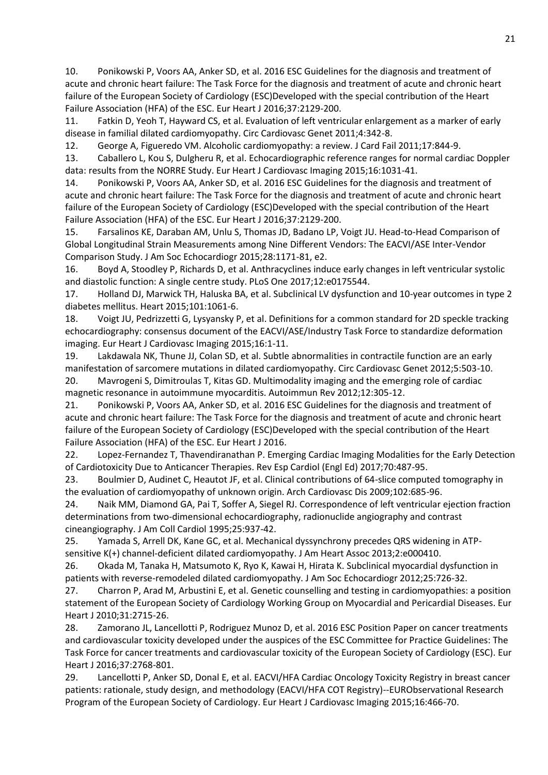10. Ponikowski P, Voors AA, Anker SD, et al. 2016 ESC Guidelines for the diagnosis and treatment of acute and chronic heart failure: The Task Force for the diagnosis and treatment of acute and chronic heart failure of the European Society of Cardiology (ESC)Developed with the special contribution of the Heart Failure Association (HFA) of the ESC. Eur Heart J 2016;37:2129-200.

11. Fatkin D, Yeoh T, Hayward CS, et al. Evaluation of left ventricular enlargement as a marker of early disease in familial dilated cardiomyopathy. Circ Cardiovasc Genet 2011;4:342-8.

12. George A, Figueredo VM. Alcoholic cardiomyopathy: a review. J Card Fail 2011;17:844-9.

13. Caballero L, Kou S, Dulgheru R, et al. Echocardiographic reference ranges for normal cardiac Doppler data: results from the NORRE Study. Eur Heart J Cardiovasc Imaging 2015;16:1031-41.

14. Ponikowski P, Voors AA, Anker SD, et al. 2016 ESC Guidelines for the diagnosis and treatment of acute and chronic heart failure: The Task Force for the diagnosis and treatment of acute and chronic heart failure of the European Society of Cardiology (ESC)Developed with the special contribution of the Heart Failure Association (HFA) of the ESC. Eur Heart J 2016;37:2129-200.

15. Farsalinos KE, Daraban AM, Unlu S, Thomas JD, Badano LP, Voigt JU. Head-to-Head Comparison of Global Longitudinal Strain Measurements among Nine Different Vendors: The EACVI/ASE Inter-Vendor Comparison Study. J Am Soc Echocardiogr 2015;28:1171-81, e2.

16. Boyd A, Stoodley P, Richards D, et al. Anthracyclines induce early changes in left ventricular systolic and diastolic function: A single centre study. PLoS One 2017;12:e0175544.

17. Holland DJ, Marwick TH, Haluska BA, et al. Subclinical LV dysfunction and 10-year outcomes in type 2 diabetes mellitus. Heart 2015;101:1061-6.

18. Voigt JU, Pedrizzetti G, Lysyansky P, et al. Definitions for a common standard for 2D speckle tracking echocardiography: consensus document of the EACVI/ASE/Industry Task Force to standardize deformation imaging. Eur Heart J Cardiovasc Imaging 2015;16:1-11.

19. Lakdawala NK, Thune JJ, Colan SD, et al. Subtle abnormalities in contractile function are an early manifestation of sarcomere mutations in dilated cardiomyopathy. Circ Cardiovasc Genet 2012;5:503-10. 20. Mavrogeni S, Dimitroulas T, Kitas GD. Multimodality imaging and the emerging role of cardiac magnetic resonance in autoimmune myocarditis. Autoimmun Rev 2012;12:305-12.

21. Ponikowski P, Voors AA, Anker SD, et al. 2016 ESC Guidelines for the diagnosis and treatment of acute and chronic heart failure: The Task Force for the diagnosis and treatment of acute and chronic heart failure of the European Society of Cardiology (ESC)Developed with the special contribution of the Heart Failure Association (HFA) of the ESC. Eur Heart J 2016.

22. Lopez-Fernandez T, Thavendiranathan P. Emerging Cardiac Imaging Modalities for the Early Detection of Cardiotoxicity Due to Anticancer Therapies. Rev Esp Cardiol (Engl Ed) 2017;70:487-95.

23. Boulmier D, Audinet C, Heautot JF, et al. Clinical contributions of 64-slice computed tomography in the evaluation of cardiomyopathy of unknown origin. Arch Cardiovasc Dis 2009;102:685-96.

24. Naik MM, Diamond GA, Pai T, Soffer A, Siegel RJ. Correspondence of left ventricular ejection fraction determinations from two-dimensional echocardiography, radionuclide angiography and contrast cineangiography. J Am Coll Cardiol 1995;25:937-42.

25. Yamada S, Arrell DK, Kane GC, et al. Mechanical dyssynchrony precedes QRS widening in ATPsensitive K(+) channel-deficient dilated cardiomyopathy. J Am Heart Assoc 2013;2:e000410.

26. Okada M, Tanaka H, Matsumoto K, Ryo K, Kawai H, Hirata K. Subclinical myocardial dysfunction in patients with reverse-remodeled dilated cardiomyopathy. J Am Soc Echocardiogr 2012;25:726-32.

27. Charron P, Arad M, Arbustini E, et al. Genetic counselling and testing in cardiomyopathies: a position statement of the European Society of Cardiology Working Group on Myocardial and Pericardial Diseases. Eur Heart J 2010;31:2715-26.

28. Zamorano JL, Lancellotti P, Rodriguez Munoz D, et al. 2016 ESC Position Paper on cancer treatments and cardiovascular toxicity developed under the auspices of the ESC Committee for Practice Guidelines: The Task Force for cancer treatments and cardiovascular toxicity of the European Society of Cardiology (ESC). Eur Heart J 2016;37:2768-801.

29. Lancellotti P, Anker SD, Donal E, et al. EACVI/HFA Cardiac Oncology Toxicity Registry in breast cancer patients: rationale, study design, and methodology (EACVI/HFA COT Registry)--EURObservational Research Program of the European Society of Cardiology. Eur Heart J Cardiovasc Imaging 2015;16:466-70.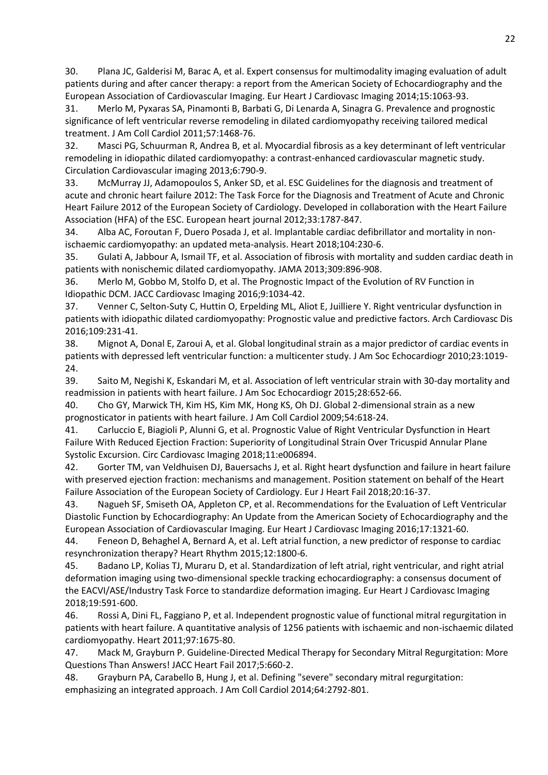30. Plana JC, Galderisi M, Barac A, et al. Expert consensus for multimodality imaging evaluation of adult patients during and after cancer therapy: a report from the American Society of Echocardiography and the European Association of Cardiovascular Imaging. Eur Heart J Cardiovasc Imaging 2014;15:1063-93.

31. Merlo M, Pyxaras SA, Pinamonti B, Barbati G, Di Lenarda A, Sinagra G. Prevalence and prognostic significance of left ventricular reverse remodeling in dilated cardiomyopathy receiving tailored medical treatment. J Am Coll Cardiol 2011;57:1468-76.

32. Masci PG, Schuurman R, Andrea B, et al. Myocardial fibrosis as a key determinant of left ventricular remodeling in idiopathic dilated cardiomyopathy: a contrast-enhanced cardiovascular magnetic study. Circulation Cardiovascular imaging 2013;6:790-9.

33. McMurray JJ, Adamopoulos S, Anker SD, et al. ESC Guidelines for the diagnosis and treatment of acute and chronic heart failure 2012: The Task Force for the Diagnosis and Treatment of Acute and Chronic Heart Failure 2012 of the European Society of Cardiology. Developed in collaboration with the Heart Failure Association (HFA) of the ESC. European heart journal 2012;33:1787-847.

34. Alba AC, Foroutan F, Duero Posada J, et al. Implantable cardiac defibrillator and mortality in nonischaemic cardiomyopathy: an updated meta-analysis. Heart 2018;104:230-6.

35. Gulati A, Jabbour A, Ismail TF, et al. Association of fibrosis with mortality and sudden cardiac death in patients with nonischemic dilated cardiomyopathy. JAMA 2013;309:896-908.

36. Merlo M, Gobbo M, Stolfo D, et al. The Prognostic Impact of the Evolution of RV Function in Idiopathic DCM. JACC Cardiovasc Imaging 2016;9:1034-42.

37. Venner C, Selton-Suty C, Huttin O, Erpelding ML, Aliot E, Juilliere Y. Right ventricular dysfunction in patients with idiopathic dilated cardiomyopathy: Prognostic value and predictive factors. Arch Cardiovasc Dis 2016;109:231-41.

38. Mignot A, Donal E, Zaroui A, et al. Global longitudinal strain as a major predictor of cardiac events in patients with depressed left ventricular function: a multicenter study. J Am Soc Echocardiogr 2010;23:1019- 24.

39. Saito M, Negishi K, Eskandari M, et al. Association of left ventricular strain with 30-day mortality and readmission in patients with heart failure. J Am Soc Echocardiogr 2015;28:652-66.

40. Cho GY, Marwick TH, Kim HS, Kim MK, Hong KS, Oh DJ. Global 2-dimensional strain as a new prognosticator in patients with heart failure. J Am Coll Cardiol 2009;54:618-24.

41. Carluccio E, Biagioli P, Alunni G, et al. Prognostic Value of Right Ventricular Dysfunction in Heart Failure With Reduced Ejection Fraction: Superiority of Longitudinal Strain Over Tricuspid Annular Plane Systolic Excursion. Circ Cardiovasc Imaging 2018;11:e006894.

42. Gorter TM, van Veldhuisen DJ, Bauersachs J, et al. Right heart dysfunction and failure in heart failure with preserved ejection fraction: mechanisms and management. Position statement on behalf of the Heart Failure Association of the European Society of Cardiology. Eur J Heart Fail 2018;20:16-37.

43. Nagueh SF, Smiseth OA, Appleton CP, et al. Recommendations for the Evaluation of Left Ventricular Diastolic Function by Echocardiography: An Update from the American Society of Echocardiography and the European Association of Cardiovascular Imaging. Eur Heart J Cardiovasc Imaging 2016;17:1321-60.

44. Feneon D, Behaghel A, Bernard A, et al. Left atrial function, a new predictor of response to cardiac resynchronization therapy? Heart Rhythm 2015;12:1800-6.

45. Badano LP, Kolias TJ, Muraru D, et al. Standardization of left atrial, right ventricular, and right atrial deformation imaging using two-dimensional speckle tracking echocardiography: a consensus document of the EACVI/ASE/Industry Task Force to standardize deformation imaging. Eur Heart J Cardiovasc Imaging 2018;19:591-600.

46. Rossi A, Dini FL, Faggiano P, et al. Independent prognostic value of functional mitral regurgitation in patients with heart failure. A quantitative analysis of 1256 patients with ischaemic and non-ischaemic dilated cardiomyopathy. Heart 2011;97:1675-80.

47. Mack M, Grayburn P. Guideline-Directed Medical Therapy for Secondary Mitral Regurgitation: More Questions Than Answers! JACC Heart Fail 2017;5:660-2.

48. Grayburn PA, Carabello B, Hung J, et al. Defining "severe" secondary mitral regurgitation: emphasizing an integrated approach. J Am Coll Cardiol 2014;64:2792-801.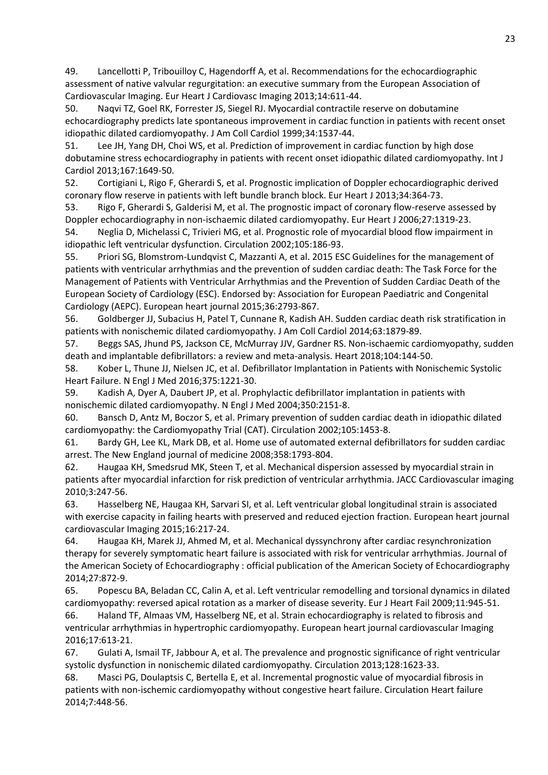49. Lancellotti P, Tribouilloy C, Hagendorff A, et al. Recommendations for the echocardiographic assessment of native valvular regurgitation: an executive summary from the European Association of Cardiovascular Imaging. Eur Heart J Cardiovasc Imaging 2013;14:611-44.

50. Naqvi TZ, Goel RK, Forrester JS, Siegel RJ. Myocardial contractile reserve on dobutamine echocardiography predicts late spontaneous improvement in cardiac function in patients with recent onset idiopathic dilated cardiomyopathy. J Am Coll Cardiol 1999;34:1537-44.

51. Lee JH, Yang DH, Choi WS, et al. Prediction of improvement in cardiac function by high dose dobutamine stress echocardiography in patients with recent onset idiopathic dilated cardiomyopathy. Int J Cardiol 2013;167:1649-50.

52. Cortigiani L, Rigo F, Gherardi S, et al. Prognostic implication of Doppler echocardiographic derived coronary flow reserve in patients with left bundle branch block. Eur Heart J 2013;34:364-73.

53. Rigo F, Gherardi S, Galderisi M, et al. The prognostic impact of coronary flow-reserve assessed by Doppler echocardiography in non-ischaemic dilated cardiomyopathy. Eur Heart J 2006;27:1319-23.

54. Neglia D, Michelassi C, Trivieri MG, et al. Prognostic role of myocardial blood flow impairment in idiopathic left ventricular dysfunction. Circulation 2002;105:186-93.

55. Priori SG, Blomstrom-Lundqvist C, Mazzanti A, et al. 2015 ESC Guidelines for the management of patients with ventricular arrhythmias and the prevention of sudden cardiac death: The Task Force for the Management of Patients with Ventricular Arrhythmias and the Prevention of Sudden Cardiac Death of the European Society of Cardiology (ESC). Endorsed by: Association for European Paediatric and Congenital Cardiology (AEPC). European heart journal 2015;36:2793-867.

56. Goldberger JJ, Subacius H, Patel T, Cunnane R, Kadish AH. Sudden cardiac death risk stratification in patients with nonischemic dilated cardiomyopathy. J Am Coll Cardiol 2014;63:1879-89.

57. Beggs SAS, Jhund PS, Jackson CE, McMurray JJV, Gardner RS. Non-ischaemic cardiomyopathy, sudden death and implantable defibrillators: a review and meta-analysis. Heart 2018;104:144-50.

58. Kober L, Thune JJ, Nielsen JC, et al. Defibrillator Implantation in Patients with Nonischemic Systolic Heart Failure. N Engl J Med 2016;375:1221-30.

59. Kadish A, Dyer A, Daubert JP, et al. Prophylactic defibrillator implantation in patients with nonischemic dilated cardiomyopathy. N Engl J Med 2004;350:2151-8.

60. Bansch D, Antz M, Boczor S, et al. Primary prevention of sudden cardiac death in idiopathic dilated cardiomyopathy: the Cardiomyopathy Trial (CAT). Circulation 2002;105:1453-8.

61. Bardy GH, Lee KL, Mark DB, et al. Home use of automated external defibrillators for sudden cardiac arrest. The New England journal of medicine 2008;358:1793-804.

62. Haugaa KH, Smedsrud MK, Steen T, et al. Mechanical dispersion assessed by myocardial strain in patients after myocardial infarction for risk prediction of ventricular arrhythmia. JACC Cardiovascular imaging 2010;3:247-56.

63. Hasselberg NE, Haugaa KH, Sarvari SI, et al. Left ventricular global longitudinal strain is associated with exercise capacity in failing hearts with preserved and reduced ejection fraction. European heart journal cardiovascular Imaging 2015;16:217-24.

64. Haugaa KH, Marek JJ, Ahmed M, et al. Mechanical dyssynchrony after cardiac resynchronization therapy for severely symptomatic heart failure is associated with risk for ventricular arrhythmias. Journal of the American Society of Echocardiography : official publication of the American Society of Echocardiography 2014;27:872-9.

65. Popescu BA, Beladan CC, Calin A, et al. Left ventricular remodelling and torsional dynamics in dilated cardiomyopathy: reversed apical rotation as a marker of disease severity. Eur J Heart Fail 2009;11:945-51. 66. Haland TF, Almaas VM, Hasselberg NE, et al. Strain echocardiography is related to fibrosis and ventricular arrhythmias in hypertrophic cardiomyopathy. European heart journal cardiovascular Imaging 2016;17:613-21.

67. Gulati A, Ismail TF, Jabbour A, et al. The prevalence and prognostic significance of right ventricular systolic dysfunction in nonischemic dilated cardiomyopathy. Circulation 2013;128:1623-33.

68. Masci PG, Doulaptsis C, Bertella E, et al. Incremental prognostic value of myocardial fibrosis in patients with non-ischemic cardiomyopathy without congestive heart failure. Circulation Heart failure 2014;7:448-56.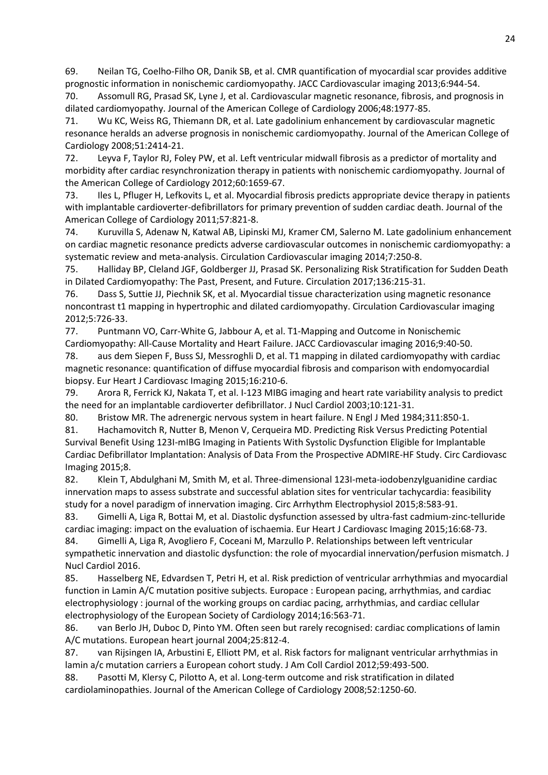69. Neilan TG, Coelho-Filho OR, Danik SB, et al. CMR quantification of myocardial scar provides additive prognostic information in nonischemic cardiomyopathy. JACC Cardiovascular imaging 2013;6:944-54.

70. Assomull RG, Prasad SK, Lyne J, et al. Cardiovascular magnetic resonance, fibrosis, and prognosis in dilated cardiomyopathy. Journal of the American College of Cardiology 2006;48:1977-85.

71. Wu KC, Weiss RG, Thiemann DR, et al. Late gadolinium enhancement by cardiovascular magnetic resonance heralds an adverse prognosis in nonischemic cardiomyopathy. Journal of the American College of Cardiology 2008;51:2414-21.

72. Leyva F, Taylor RJ, Foley PW, et al. Left ventricular midwall fibrosis as a predictor of mortality and morbidity after cardiac resynchronization therapy in patients with nonischemic cardiomyopathy. Journal of the American College of Cardiology 2012;60:1659-67.

73. Iles L, Pfluger H, Lefkovits L, et al. Myocardial fibrosis predicts appropriate device therapy in patients with implantable cardioverter-defibrillators for primary prevention of sudden cardiac death. Journal of the American College of Cardiology 2011;57:821-8.

74. Kuruvilla S, Adenaw N, Katwal AB, Lipinski MJ, Kramer CM, Salerno M. Late gadolinium enhancement on cardiac magnetic resonance predicts adverse cardiovascular outcomes in nonischemic cardiomyopathy: a systematic review and meta-analysis. Circulation Cardiovascular imaging 2014;7:250-8.

75. Halliday BP, Cleland JGF, Goldberger JJ, Prasad SK. Personalizing Risk Stratification for Sudden Death in Dilated Cardiomyopathy: The Past, Present, and Future. Circulation 2017;136:215-31.

76. Dass S, Suttie JJ, Piechnik SK, et al. Myocardial tissue characterization using magnetic resonance noncontrast t1 mapping in hypertrophic and dilated cardiomyopathy. Circulation Cardiovascular imaging 2012;5:726-33.

77. Puntmann VO, Carr-White G, Jabbour A, et al. T1-Mapping and Outcome in Nonischemic Cardiomyopathy: All-Cause Mortality and Heart Failure. JACC Cardiovascular imaging 2016;9:40-50.

78. aus dem Siepen F, Buss SJ, Messroghli D, et al. T1 mapping in dilated cardiomyopathy with cardiac magnetic resonance: quantification of diffuse myocardial fibrosis and comparison with endomyocardial biopsy. Eur Heart J Cardiovasc Imaging 2015;16:210-6.

79. Arora R, Ferrick KJ, Nakata T, et al. I-123 MIBG imaging and heart rate variability analysis to predict the need for an implantable cardioverter defibrillator. J Nucl Cardiol 2003;10:121-31.

80. Bristow MR. The adrenergic nervous system in heart failure. N Engl J Med 1984;311:850-1.

81. Hachamovitch R, Nutter B, Menon V, Cerqueira MD. Predicting Risk Versus Predicting Potential Survival Benefit Using 123I-mIBG Imaging in Patients With Systolic Dysfunction Eligible for Implantable Cardiac Defibrillator Implantation: Analysis of Data From the Prospective ADMIRE-HF Study. Circ Cardiovasc Imaging 2015;8.

82. Klein T, Abdulghani M, Smith M, et al. Three-dimensional 123I-meta-iodobenzylguanidine cardiac innervation maps to assess substrate and successful ablation sites for ventricular tachycardia: feasibility study for a novel paradigm of innervation imaging. Circ Arrhythm Electrophysiol 2015;8:583-91.

83. Gimelli A, Liga R, Bottai M, et al. Diastolic dysfunction assessed by ultra-fast cadmium-zinc-telluride cardiac imaging: impact on the evaluation of ischaemia. Eur Heart J Cardiovasc Imaging 2015;16:68-73.

84. Gimelli A, Liga R, Avogliero F, Coceani M, Marzullo P. Relationships between left ventricular sympathetic innervation and diastolic dysfunction: the role of myocardial innervation/perfusion mismatch. J Nucl Cardiol 2016.

85. Hasselberg NE, Edvardsen T, Petri H, et al. Risk prediction of ventricular arrhythmias and myocardial function in Lamin A/C mutation positive subjects. Europace : European pacing, arrhythmias, and cardiac electrophysiology : journal of the working groups on cardiac pacing, arrhythmias, and cardiac cellular electrophysiology of the European Society of Cardiology 2014;16:563-71.

86. van Berlo JH, Duboc D, Pinto YM. Often seen but rarely recognised: cardiac complications of lamin A/C mutations. European heart journal 2004;25:812-4.

87. van Rijsingen IA, Arbustini E, Elliott PM, et al. Risk factors for malignant ventricular arrhythmias in lamin a/c mutation carriers a European cohort study. J Am Coll Cardiol 2012;59:493-500.

88. Pasotti M, Klersy C, Pilotto A, et al. Long-term outcome and risk stratification in dilated cardiolaminopathies. Journal of the American College of Cardiology 2008;52:1250-60.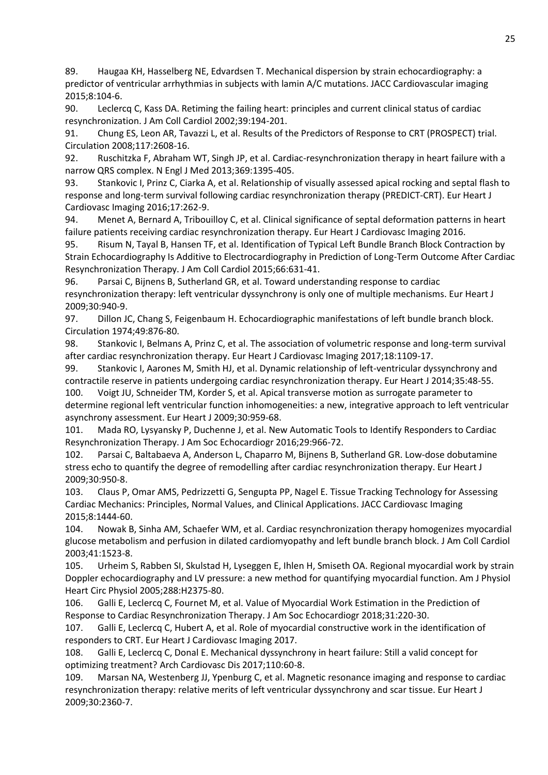89. Haugaa KH, Hasselberg NE, Edvardsen T. Mechanical dispersion by strain echocardiography: a predictor of ventricular arrhythmias in subjects with lamin A/C mutations. JACC Cardiovascular imaging 2015;8:104-6.

90. Leclercq C, Kass DA. Retiming the failing heart: principles and current clinical status of cardiac resynchronization. J Am Coll Cardiol 2002;39:194-201.

91. Chung ES, Leon AR, Tavazzi L, et al. Results of the Predictors of Response to CRT (PROSPECT) trial. Circulation 2008;117:2608-16.

92. Ruschitzka F, Abraham WT, Singh JP, et al. Cardiac-resynchronization therapy in heart failure with a narrow QRS complex. N Engl J Med 2013;369:1395-405.

93. Stankovic I, Prinz C, Ciarka A, et al. Relationship of visually assessed apical rocking and septal flash to response and long-term survival following cardiac resynchronization therapy (PREDICT-CRT). Eur Heart J Cardiovasc Imaging 2016;17:262-9.

94. Menet A, Bernard A, Tribouilloy C, et al. Clinical significance of septal deformation patterns in heart failure patients receiving cardiac resynchronization therapy. Eur Heart J Cardiovasc Imaging 2016.

95. Risum N, Tayal B, Hansen TF, et al. Identification of Typical Left Bundle Branch Block Contraction by Strain Echocardiography Is Additive to Electrocardiography in Prediction of Long-Term Outcome After Cardiac Resynchronization Therapy. J Am Coll Cardiol 2015;66:631-41.

96. Parsai C, Bijnens B, Sutherland GR, et al. Toward understanding response to cardiac resynchronization therapy: left ventricular dyssynchrony is only one of multiple mechanisms. Eur Heart J 2009;30:940-9.

97. Dillon JC, Chang S, Feigenbaum H. Echocardiographic manifestations of left bundle branch block. Circulation 1974;49:876-80.

98. Stankovic I, Belmans A, Prinz C, et al. The association of volumetric response and long-term survival after cardiac resynchronization therapy. Eur Heart J Cardiovasc Imaging 2017;18:1109-17.

99. Stankovic I, Aarones M, Smith HJ, et al. Dynamic relationship of left-ventricular dyssynchrony and contractile reserve in patients undergoing cardiac resynchronization therapy. Eur Heart J 2014;35:48-55.

100. Voigt JU, Schneider TM, Korder S, et al. Apical transverse motion as surrogate parameter to determine regional left ventricular function inhomogeneities: a new, integrative approach to left ventricular asynchrony assessment. Eur Heart J 2009;30:959-68.

101. Mada RO, Lysyansky P, Duchenne J, et al. New Automatic Tools to Identify Responders to Cardiac Resynchronization Therapy. J Am Soc Echocardiogr 2016;29:966-72.

102. Parsai C, Baltabaeva A, Anderson L, Chaparro M, Bijnens B, Sutherland GR. Low-dose dobutamine stress echo to quantify the degree of remodelling after cardiac resynchronization therapy. Eur Heart J 2009;30:950-8.

103. Claus P, Omar AMS, Pedrizzetti G, Sengupta PP, Nagel E. Tissue Tracking Technology for Assessing Cardiac Mechanics: Principles, Normal Values, and Clinical Applications. JACC Cardiovasc Imaging 2015;8:1444-60.

104. Nowak B, Sinha AM, Schaefer WM, et al. Cardiac resynchronization therapy homogenizes myocardial glucose metabolism and perfusion in dilated cardiomyopathy and left bundle branch block. J Am Coll Cardiol 2003;41:1523-8.

105. Urheim S, Rabben SI, Skulstad H, Lyseggen E, Ihlen H, Smiseth OA. Regional myocardial work by strain Doppler echocardiography and LV pressure: a new method for quantifying myocardial function. Am J Physiol Heart Circ Physiol 2005;288:H2375-80.

106. Galli E, Leclercq C, Fournet M, et al. Value of Myocardial Work Estimation in the Prediction of Response to Cardiac Resynchronization Therapy. J Am Soc Echocardiogr 2018;31:220-30.

107. Galli E, Leclercq C, Hubert A, et al. Role of myocardial constructive work in the identification of responders to CRT. Eur Heart J Cardiovasc Imaging 2017.

108. Galli E, Leclercq C, Donal E. Mechanical dyssynchrony in heart failure: Still a valid concept for optimizing treatment? Arch Cardiovasc Dis 2017;110:60-8.

109. Marsan NA, Westenberg JJ, Ypenburg C, et al. Magnetic resonance imaging and response to cardiac resynchronization therapy: relative merits of left ventricular dyssynchrony and scar tissue. Eur Heart J 2009;30:2360-7.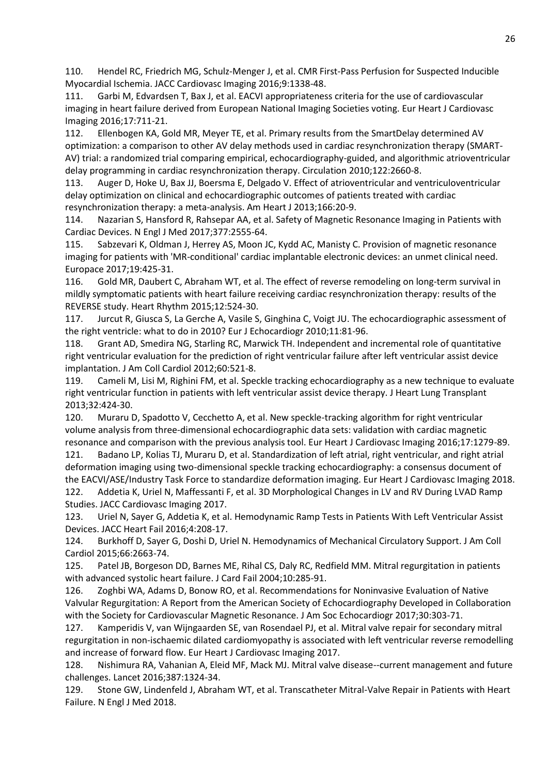110. Hendel RC, Friedrich MG, Schulz-Menger J, et al. CMR First-Pass Perfusion for Suspected Inducible Myocardial Ischemia. JACC Cardiovasc Imaging 2016;9:1338-48.

111. Garbi M, Edvardsen T, Bax J, et al. EACVI appropriateness criteria for the use of cardiovascular imaging in heart failure derived from European National Imaging Societies voting. Eur Heart J Cardiovasc Imaging 2016;17:711-21.

112. Ellenbogen KA, Gold MR, Meyer TE, et al. Primary results from the SmartDelay determined AV optimization: a comparison to other AV delay methods used in cardiac resynchronization therapy (SMART-AV) trial: a randomized trial comparing empirical, echocardiography-guided, and algorithmic atrioventricular delay programming in cardiac resynchronization therapy. Circulation 2010;122:2660-8.

113. Auger D, Hoke U, Bax JJ, Boersma E, Delgado V. Effect of atrioventricular and ventriculoventricular delay optimization on clinical and echocardiographic outcomes of patients treated with cardiac resynchronization therapy: a meta-analysis. Am Heart J 2013;166:20-9.

114. Nazarian S, Hansford R, Rahsepar AA, et al. Safety of Magnetic Resonance Imaging in Patients with Cardiac Devices. N Engl J Med 2017;377:2555-64.

115. Sabzevari K, Oldman J, Herrey AS, Moon JC, Kydd AC, Manisty C. Provision of magnetic resonance imaging for patients with 'MR-conditional' cardiac implantable electronic devices: an unmet clinical need. Europace 2017;19:425-31.

116. Gold MR, Daubert C, Abraham WT, et al. The effect of reverse remodeling on long-term survival in mildly symptomatic patients with heart failure receiving cardiac resynchronization therapy: results of the REVERSE study. Heart Rhythm 2015;12:524-30.

117. Jurcut R, Giusca S, La Gerche A, Vasile S, Ginghina C, Voigt JU. The echocardiographic assessment of the right ventricle: what to do in 2010? Eur J Echocardiogr 2010;11:81-96.

118. Grant AD, Smedira NG, Starling RC, Marwick TH. Independent and incremental role of quantitative right ventricular evaluation for the prediction of right ventricular failure after left ventricular assist device implantation. J Am Coll Cardiol 2012;60:521-8.

119. Cameli M, Lisi M, Righini FM, et al. Speckle tracking echocardiography as a new technique to evaluate right ventricular function in patients with left ventricular assist device therapy. J Heart Lung Transplant 2013;32:424-30.

120. Muraru D, Spadotto V, Cecchetto A, et al. New speckle-tracking algorithm for right ventricular volume analysis from three-dimensional echocardiographic data sets: validation with cardiac magnetic resonance and comparison with the previous analysis tool. Eur Heart J Cardiovasc Imaging 2016;17:1279-89.

121. Badano LP, Kolias TJ, Muraru D, et al. Standardization of left atrial, right ventricular, and right atrial deformation imaging using two-dimensional speckle tracking echocardiography: a consensus document of the EACVI/ASE/Industry Task Force to standardize deformation imaging. Eur Heart J Cardiovasc Imaging 2018. 122. Addetia K, Uriel N, Maffessanti F, et al. 3D Morphological Changes in LV and RV During LVAD Ramp Studies. JACC Cardiovasc Imaging 2017.

123. Uriel N, Sayer G, Addetia K, et al. Hemodynamic Ramp Tests in Patients With Left Ventricular Assist Devices. JACC Heart Fail 2016;4:208-17.

124. Burkhoff D, Sayer G, Doshi D, Uriel N. Hemodynamics of Mechanical Circulatory Support. J Am Coll Cardiol 2015;66:2663-74.

125. Patel JB, Borgeson DD, Barnes ME, Rihal CS, Daly RC, Redfield MM. Mitral regurgitation in patients with advanced systolic heart failure. J Card Fail 2004;10:285-91.

126. Zoghbi WA, Adams D, Bonow RO, et al. Recommendations for Noninvasive Evaluation of Native Valvular Regurgitation: A Report from the American Society of Echocardiography Developed in Collaboration with the Society for Cardiovascular Magnetic Resonance. J Am Soc Echocardiogr 2017;30:303-71.

127. Kamperidis V, van Wijngaarden SE, van Rosendael PJ, et al. Mitral valve repair for secondary mitral regurgitation in non-ischaemic dilated cardiomyopathy is associated with left ventricular reverse remodelling and increase of forward flow. Eur Heart J Cardiovasc Imaging 2017.

128. Nishimura RA, Vahanian A, Eleid MF, Mack MJ. Mitral valve disease--current management and future challenges. Lancet 2016;387:1324-34.

129. Stone GW, Lindenfeld J, Abraham WT, et al. Transcatheter Mitral-Valve Repair in Patients with Heart Failure. N Engl J Med 2018.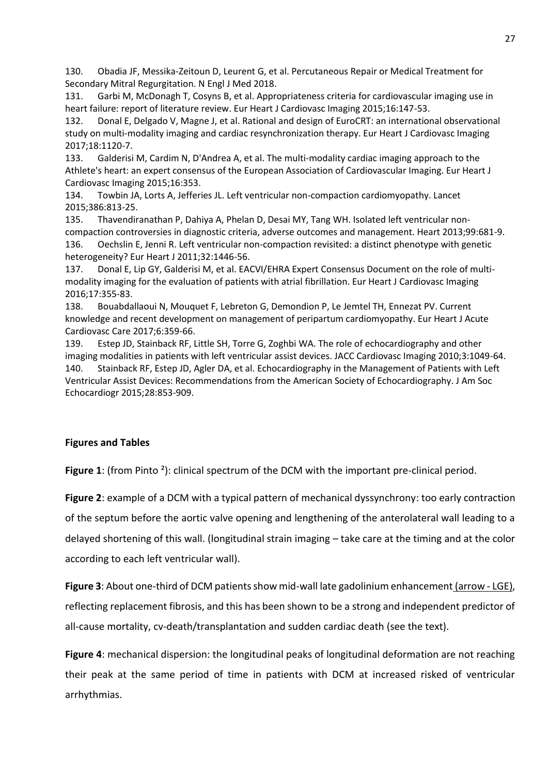130. Obadia JF, Messika-Zeitoun D, Leurent G, et al. Percutaneous Repair or Medical Treatment for Secondary Mitral Regurgitation. N Engl J Med 2018.

131. Garbi M, McDonagh T, Cosyns B, et al. Appropriateness criteria for cardiovascular imaging use in heart failure: report of literature review. Eur Heart J Cardiovasc Imaging 2015;16:147-53.

132. Donal E, Delgado V, Magne J, et al. Rational and design of EuroCRT: an international observational study on multi-modality imaging and cardiac resynchronization therapy. Eur Heart J Cardiovasc Imaging 2017;18:1120-7.

133. Galderisi M, Cardim N, D'Andrea A, et al. The multi-modality cardiac imaging approach to the Athlete's heart: an expert consensus of the European Association of Cardiovascular Imaging. Eur Heart J Cardiovasc Imaging 2015;16:353.

134. Towbin JA, Lorts A, Jefferies JL. Left ventricular non-compaction cardiomyopathy. Lancet 2015;386:813-25.

135. Thavendiranathan P, Dahiya A, Phelan D, Desai MY, Tang WH. Isolated left ventricular noncompaction controversies in diagnostic criteria, adverse outcomes and management. Heart 2013;99:681-9. 136. Oechslin E, Jenni R. Left ventricular non-compaction revisited: a distinct phenotype with genetic heterogeneity? Eur Heart J 2011;32:1446-56.

137. Donal E, Lip GY, Galderisi M, et al. EACVI/EHRA Expert Consensus Document on the role of multimodality imaging for the evaluation of patients with atrial fibrillation. Eur Heart J Cardiovasc Imaging 2016;17:355-83.

138. Bouabdallaoui N, Mouquet F, Lebreton G, Demondion P, Le Jemtel TH, Ennezat PV. Current knowledge and recent development on management of peripartum cardiomyopathy. Eur Heart J Acute Cardiovasc Care 2017;6:359-66.

139. Estep JD, Stainback RF, Little SH, Torre G, Zoghbi WA. The role of echocardiography and other imaging modalities in patients with left ventricular assist devices. JACC Cardiovasc Imaging 2010;3:1049-64. 140. Stainback RF, Estep JD, Agler DA, et al. Echocardiography in the Management of Patients with Left Ventricular Assist Devices: Recommendations from the American Society of Echocardiography. J Am Soc Echocardiogr 2015;28:853-909.

# **Figures and Tables**

**Figure 1**: (from Pinto <sup>2</sup>): clinical spectrum of the DCM with the important pre-clinical period.

**Figure 2**: example of a DCM with a typical pattern of mechanical dyssynchrony: too early contraction of the septum before the aortic valve opening and lengthening of the anterolateral wall leading to a delayed shortening of this wall. (longitudinal strain imaging – take care at the timing and at the color according to each left ventricular wall).

**Figure 3**: About one-third of DCM patients show mid-wall late gadolinium enhancement (arrow - LGE), reflecting replacement fibrosis, and this has been shown to be a strong and independent predictor of all-cause mortality, cv-death/transplantation and sudden cardiac death (see the text).

**Figure 4**: mechanical dispersion: the longitudinal peaks of longitudinal deformation are not reaching their peak at the same period of time in patients with DCM at increased risked of ventricular arrhythmias.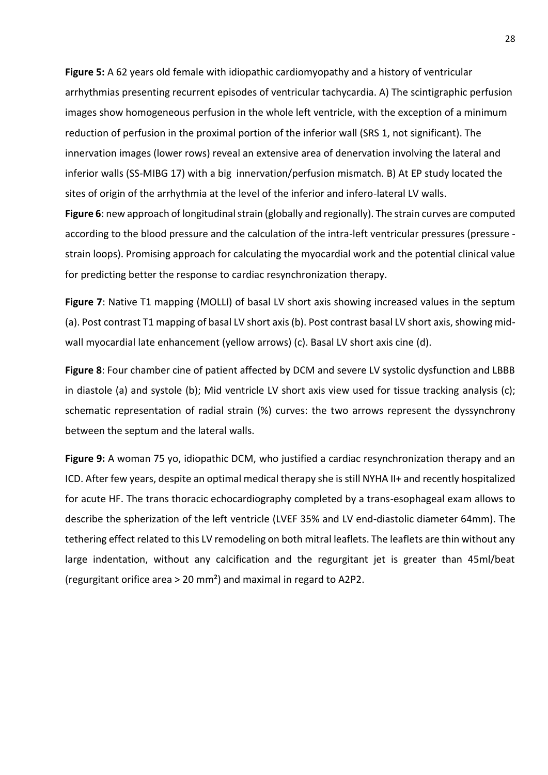**Figure 5:** A 62 years old female with idiopathic cardiomyopathy and a history of ventricular arrhythmias presenting recurrent episodes of ventricular tachycardia. A) The scintigraphic perfusion images show homogeneous perfusion in the whole left ventricle, with the exception of a minimum reduction of perfusion in the proximal portion of the inferior wall (SRS 1, not significant). The innervation images (lower rows) reveal an extensive area of denervation involving the lateral and inferior walls (SS-MIBG 17) with a big innervation/perfusion mismatch. B) At EP study located the sites of origin of the arrhythmia at the level of the inferior and infero-lateral LV walls.

**Figure 6**: new approach of longitudinal strain (globally and regionally). The strain curves are computed according to the blood pressure and the calculation of the intra-left ventricular pressures (pressure strain loops). Promising approach for calculating the myocardial work and the potential clinical value for predicting better the response to cardiac resynchronization therapy.

**Figure 7**: Native T1 mapping (MOLLI) of basal LV short axis showing increased values in the septum (a). Post contrast T1 mapping of basal LV short axis (b). Post contrast basal LV short axis, showing midwall myocardial late enhancement (yellow arrows) (c). Basal LV short axis cine (d).

**Figure 8**: Four chamber cine of patient affected by DCM and severe LV systolic dysfunction and LBBB in diastole (a) and systole (b); Mid ventricle LV short axis view used for tissue tracking analysis (c); schematic representation of radial strain (%) curves: the two arrows represent the dyssynchrony between the septum and the lateral walls.

**Figure 9:** A woman 75 yo, idiopathic DCM, who justified a cardiac resynchronization therapy and an ICD. After few years, despite an optimal medical therapy she is still NYHA II+ and recently hospitalized for acute HF. The trans thoracic echocardiography completed by a trans-esophageal exam allows to describe the spherization of the left ventricle (LVEF 35% and LV end-diastolic diameter 64mm). The tethering effect related to this LV remodeling on both mitral leaflets. The leaflets are thin without any large indentation, without any calcification and the regurgitant jet is greater than 45ml/beat (regurgitant orifice area > 20 mm²) and maximal in regard to A2P2.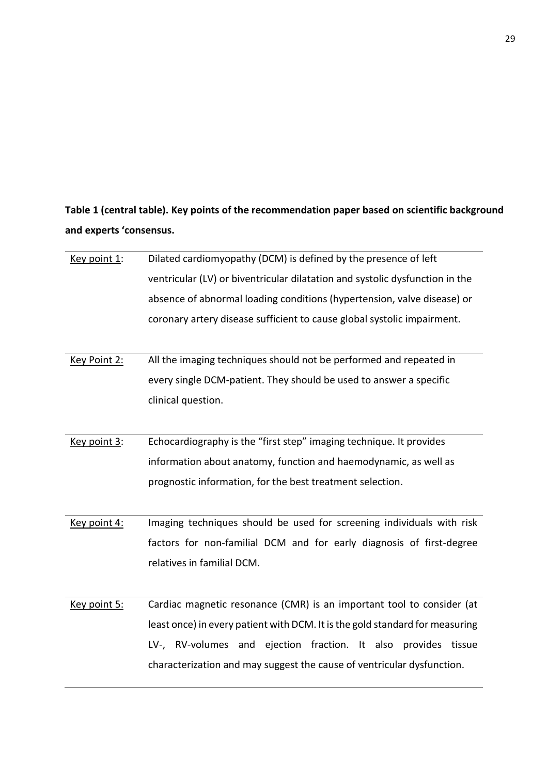**Table 1 (central table). Key points of the recommendation paper based on scientific background and experts 'consensus.**

| Key point 1: | Dilated cardiomyopathy (DCM) is defined by the presence of left              |
|--------------|------------------------------------------------------------------------------|
|              | ventricular (LV) or biventricular dilatation and systolic dysfunction in the |
|              | absence of abnormal loading conditions (hypertension, valve disease) or      |
|              | coronary artery disease sufficient to cause global systolic impairment.      |
|              |                                                                              |
| Key Point 2: | All the imaging techniques should not be performed and repeated in           |
|              | every single DCM-patient. They should be used to answer a specific           |
|              | clinical question.                                                           |
|              |                                                                              |
| Key point 3: | Echocardiography is the "first step" imaging technique. It provides          |
|              | information about anatomy, function and haemodynamic, as well as             |
|              | prognostic information, for the best treatment selection.                    |
|              |                                                                              |
| Key point 4: | Imaging techniques should be used for screening individuals with risk        |
|              | factors for non-familial DCM and for early diagnosis of first-degree         |
|              | relatives in familial DCM.                                                   |
|              |                                                                              |
| Key point 5: | Cardiac magnetic resonance (CMR) is an important tool to consider (at        |
|              | least once) in every patient with DCM. It is the gold standard for measuring |
|              | LV-, RV-volumes and ejection fraction. It also provides<br>tissue            |
|              | characterization and may suggest the cause of ventricular dysfunction.       |
|              |                                                                              |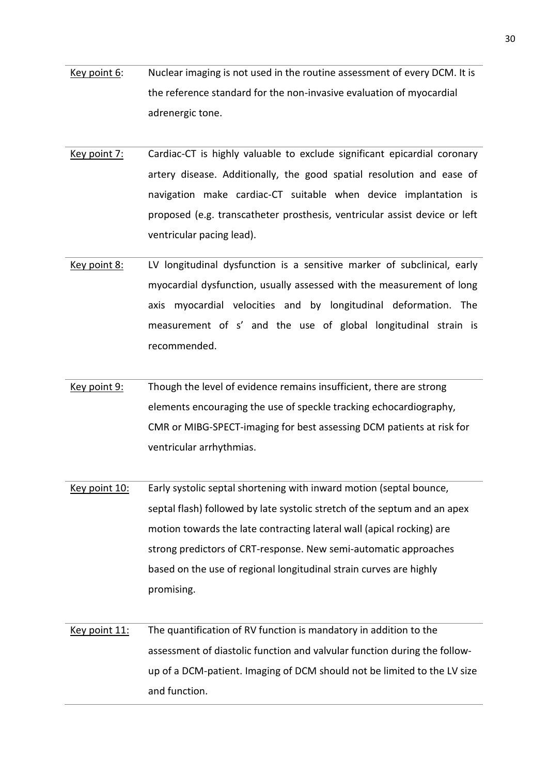- Key point 6: Nuclear imaging is not used in the routine assessment of every DCM. It is the reference standard for the non-invasive evaluation of myocardial adrenergic tone.
- Key point 7: Cardiac-CT is highly valuable to exclude significant epicardial coronary artery disease. Additionally, the good spatial resolution and ease of navigation make cardiac-CT suitable when device implantation is proposed (e.g. transcatheter prosthesis, ventricular assist device or left ventricular pacing lead).
- Key point 8: LV longitudinal dysfunction is a sensitive marker of subclinical, early myocardial dysfunction, usually assessed with the measurement of long axis myocardial velocities and by longitudinal deformation. The measurement of s' and the use of global longitudinal strain is recommended.
- Key point 9: Though the level of evidence remains insufficient, there are strong elements encouraging the use of speckle tracking echocardiography, CMR or MIBG-SPECT-imaging for best assessing DCM patients at risk for ventricular arrhythmias.
- Key point 10: Early systolic septal shortening with inward motion (septal bounce, septal flash) followed by late systolic stretch of the septum and an apex motion towards the late contracting lateral wall (apical rocking) are strong predictors of CRT-response. New semi-automatic approaches based on the use of regional longitudinal strain curves are highly promising.
- Key point 11: The quantification of RV function is mandatory in addition to the assessment of diastolic function and valvular function during the followup of a DCM-patient. Imaging of DCM should not be limited to the LV size and function.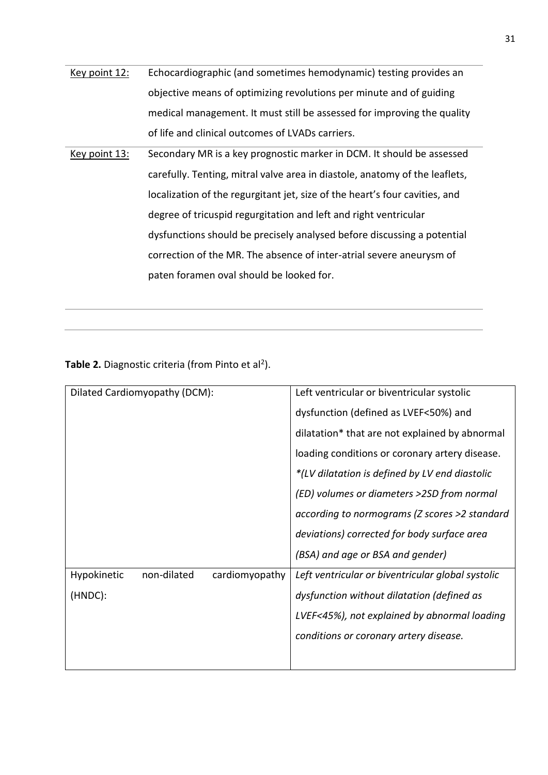| Key point 12: | Echocardiographic (and sometimes hemodynamic) testing provides an           |
|---------------|-----------------------------------------------------------------------------|
|               | objective means of optimizing revolutions per minute and of guiding         |
|               | medical management. It must still be assessed for improving the quality     |
|               | of life and clinical outcomes of LVADs carriers.                            |
| Key point 13: | Secondary MR is a key prognostic marker in DCM. It should be assessed       |
|               | carefully. Tenting, mitral valve area in diastole, anatomy of the leaflets, |
|               | localization of the regurgitant jet, size of the heart's four cavities, and |
|               | degree of tricuspid regurgitation and left and right ventricular            |
|               | dysfunctions should be precisely analysed before discussing a potential     |
|               | correction of the MR. The absence of inter-atrial severe aneurysm of        |
|               | paten foramen oval should be looked for.                                    |

Table 2. Diagnostic criteria (from Pinto et al<sup>2</sup>).

| Dilated Cardiomyopathy (DCM):                | Left ventricular or biventricular systolic        |
|----------------------------------------------|---------------------------------------------------|
|                                              | dysfunction (defined as LVEF<50%) and             |
|                                              | dilatation* that are not explained by abnormal    |
|                                              | loading conditions or coronary artery disease.    |
|                                              | *(LV dilatation is defined by LV end diastolic    |
|                                              | (ED) volumes or diameters >2SD from normal        |
|                                              | according to normograms (Z scores >2 standard     |
|                                              | deviations) corrected for body surface area       |
|                                              | (BSA) and age or BSA and gender)                  |
| Hypokinetic<br>non-dilated<br>cardiomyopathy | Left ventricular or biventricular global systolic |
| (HNDC):                                      | dysfunction without dilatation (defined as        |
|                                              | LVEF<45%), not explained by abnormal loading      |
|                                              | conditions or coronary artery disease.            |
|                                              |                                                   |
|                                              |                                                   |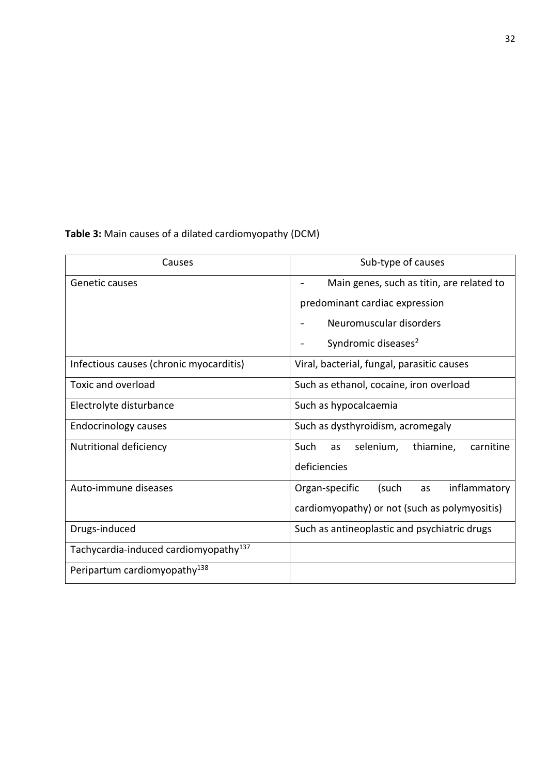**Table 3:** Main causes of a dilated cardiomyopathy (DCM)

| Causes                                            | Sub-type of causes                                |
|---------------------------------------------------|---------------------------------------------------|
| Genetic causes                                    | Main genes, such as titin, are related to         |
|                                                   | predominant cardiac expression                    |
|                                                   | Neuromuscular disorders                           |
|                                                   | Syndromic diseases <sup>2</sup>                   |
| Infectious causes (chronic myocarditis)           | Viral, bacterial, fungal, parasitic causes        |
| Toxic and overload                                | Such as ethanol, cocaine, iron overload           |
| Electrolyte disturbance                           | Such as hypocalcaemia                             |
| <b>Endocrinology causes</b>                       | Such as dysthyroidism, acromegaly                 |
| Nutritional deficiency                            | thiamine,<br>selenium,<br>Such<br>carnitine<br>as |
|                                                   | deficiencies                                      |
| Auto-immune diseases                              | Organ-specific<br>(such<br>inflammatory<br>as     |
|                                                   | cardiomyopathy) or not (such as polymyositis)     |
| Drugs-induced                                     | Such as antineoplastic and psychiatric drugs      |
| Tachycardia-induced cardiomyopathy <sup>137</sup> |                                                   |
| Peripartum cardiomyopathy <sup>138</sup>          |                                                   |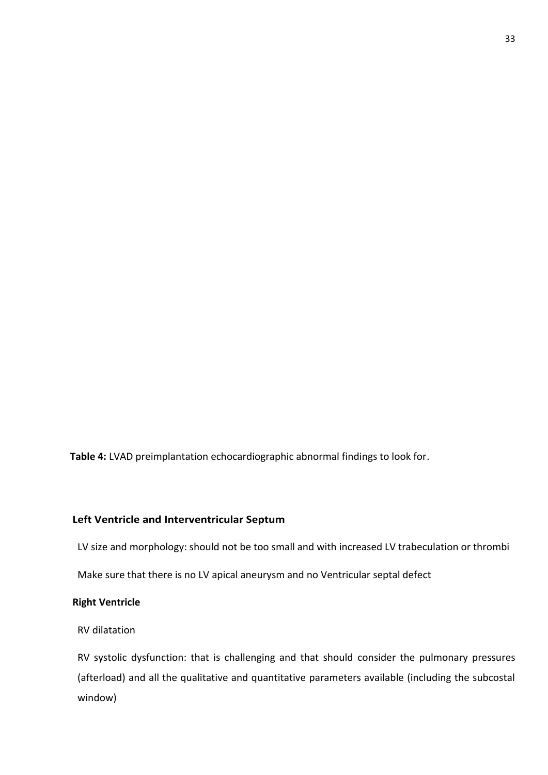**Table 4:** LVAD preimplantation echocardiographic abnormal findings to look for.

# **Left Ventricle and Interventricular Septum**

LV size and morphology: should not be too small and with increased LV trabeculation or thrombi

Make sure that there is no LV apical aneurysm and no Ventricular septal defect

# **Right Ventricle**

# RV dilatation

RV systolic dysfunction: that is challenging and that should consider the pulmonary pressures (afterload) and all the qualitative and quantitative parameters available (including the subcostal window)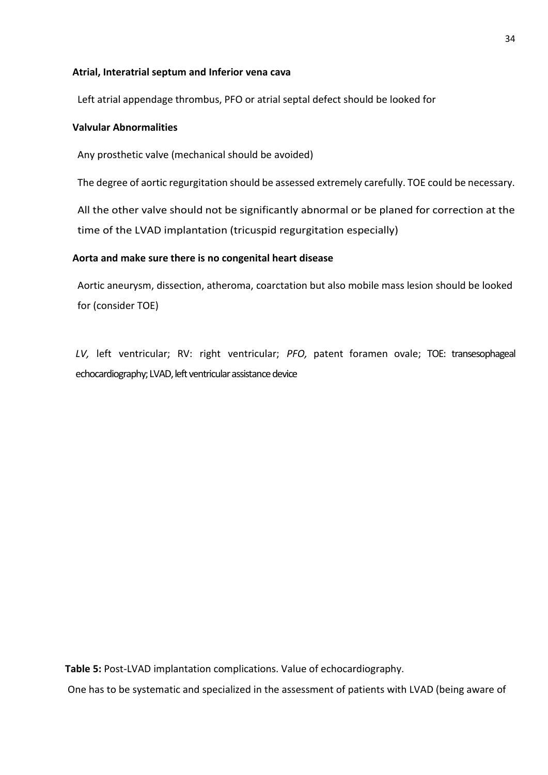# **Atrial, Interatrial septum and Inferior vena cava**

Left atrial appendage thrombus, PFO or atrial septal defect should be looked for

# **Valvular Abnormalities**

Any prosthetic valve (mechanical should be avoided)

The degree of aortic regurgitation should be assessed extremely carefully. TOE could be necessary.

All the other valve should not be significantly abnormal or be planed for correction at the time of the LVAD implantation (tricuspid regurgitation especially)

# **Aorta and make sure there is no congenital heart disease**

Aortic aneurysm, dissection, atheroma, coarctation but also mobile mass lesion should be looked for (consider TOE)

*LV,* left ventricular; RV: right ventricular; *PFO,* patent foramen ovale; TOE: transesophageal echocardiography; LVAD, left ventricular assistance device

**Table 5:** Post-LVAD implantation complications. Value of echocardiography.

One has to be systematic and specialized in the assessment of patients with LVAD (being aware of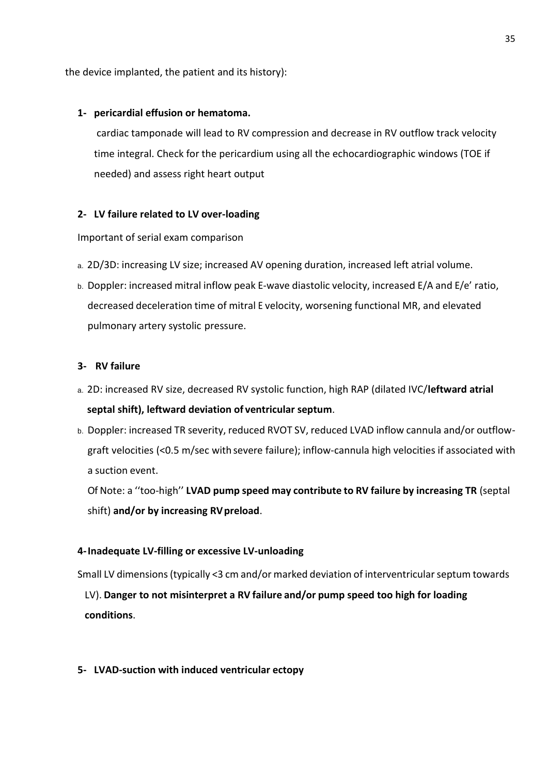the device implanted, the patient and its history):

# **1- pericardial effusion or hematoma.**

cardiac tamponade will lead to RV compression and decrease in RV outflow track velocity time integral. Check for the pericardium using all the echocardiographic windows (TOE if needed) and assess right heart output

# **2- LV failure related to LV over-loading**

## Important of serial exam comparison

- a. 2D/3D: increasing LV size; increased AV opening duration, increased left atrial volume.
- b. Doppler: increased mitral inflow peak E-wave diastolic velocity, increased E/A and E/e' ratio, decreased deceleration time of mitral E velocity, worsening functional MR, and elevated pulmonary artery systolic pressure.

## **3- RV failure**

- a. 2D: increased RV size, decreased RV systolic function, high RAP (dilated IVC/**leftward atrial septal shift), leftward deviation of ventricular septum**.
- b. Doppler: increased TR severity, reduced RVOT SV, reduced LVAD inflow cannula and/or outflowgraft velocities (<0.5 m/sec with severe failure); inflow-cannula high velocities if associated with a suction event.

Of Note: a ''too-high'' **LVAD pump speed may contribute to RV failure by increasing TR** (septal shift) **and/or by increasing RVpreload**.

### **4-Inadequate LV-filling or excessive LV-unloading**

Small LV dimensions(typically <3 cm and/or marked deviation of interventricularseptum towards

LV). **Danger to not misinterpret a RV failure and/or pump speed too high for loading conditions**.

### **5- LVAD-suction with induced ventricular ectopy**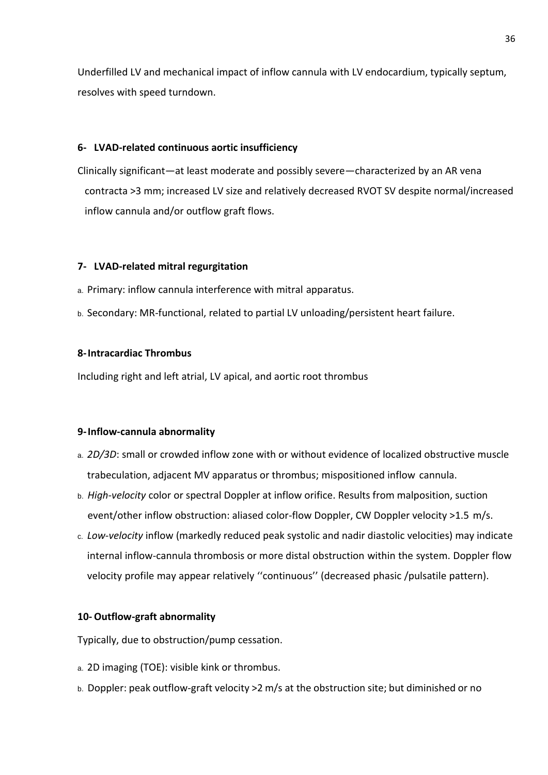Underfilled LV and mechanical impact of inflow cannula with LV endocardium, typically septum, resolves with speed turndown.

## **6- LVAD-related continuous aortic insufficiency**

Clinically significant—at least moderate and possibly severe—characterized by an AR vena contracta >3 mm; increased LV size and relatively decreased RVOT SV despite normal/increased inflow cannula and/or outflow graft flows.

## **7- LVAD-related mitral regurgitation**

- a. Primary: inflow cannula interference with mitral apparatus.
- b. Secondary: MR-functional, related to partial LV unloading/persistent heart failure.

## **8-Intracardiac Thrombus**

Including right and left atrial, LV apical, and aortic root thrombus

### **9-Inflow-cannula abnormality**

- a. *2D/3D*: small or crowded inflow zone with or without evidence of localized obstructive muscle trabeculation, adjacent MV apparatus or thrombus; mispositioned inflow cannula.
- b. *High-velocity* color or spectral Doppler at inflow orifice. Results from malposition, suction event/other inflow obstruction: aliased color-flow Doppler, CW Doppler velocity >1.5 m/s.
- c. *Low-velocity* inflow (markedly reduced peak systolic and nadir diastolic velocities) may indicate internal inflow-cannula thrombosis or more distal obstruction within the system. Doppler flow velocity profile may appear relatively ''continuous'' (decreased phasic /pulsatile pattern).

### **10- Outflow-graft abnormality**

Typically, due to obstruction/pump cessation.

- a. 2D imaging (TOE): visible kink or thrombus.
- b. Doppler: peak outflow-graft velocity >2 m/s at the obstruction site; but diminished or no